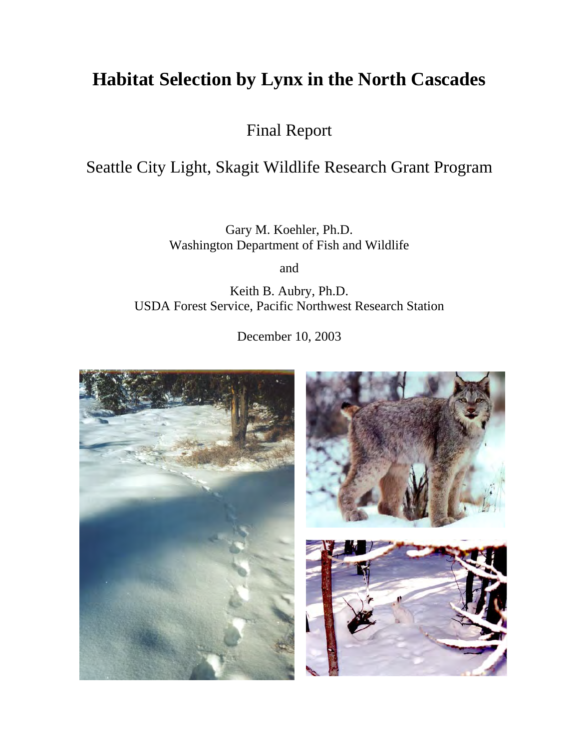# **Habitat Selection by Lynx in the North Cascades**

Final Report

# Seattle City Light, Skagit Wildlife Research Grant Program

Gary M. Koehler, Ph.D. Washington Department of Fish and Wildlife

and

Keith B. Aubry, Ph.D. USDA Forest Service, Pacific Northwest Research Station

December 10, 2003

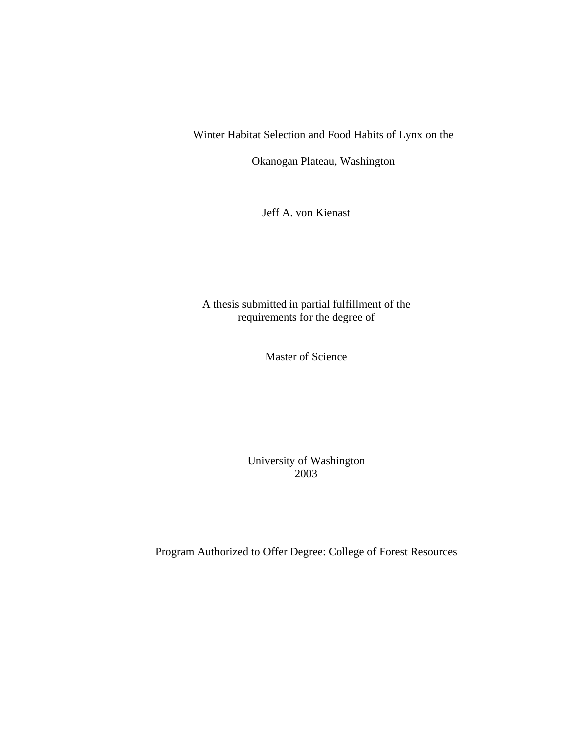Winter Habitat Selection and Food Habits of Lynx on the

Okanogan Plateau, Washington

Jeff A. von Kienast

A thesis submitted in partial fulfillment of the requirements for the degree of

Master of Science

University of Washington 2003

Program Authorized to Offer Degree: College of Forest Resources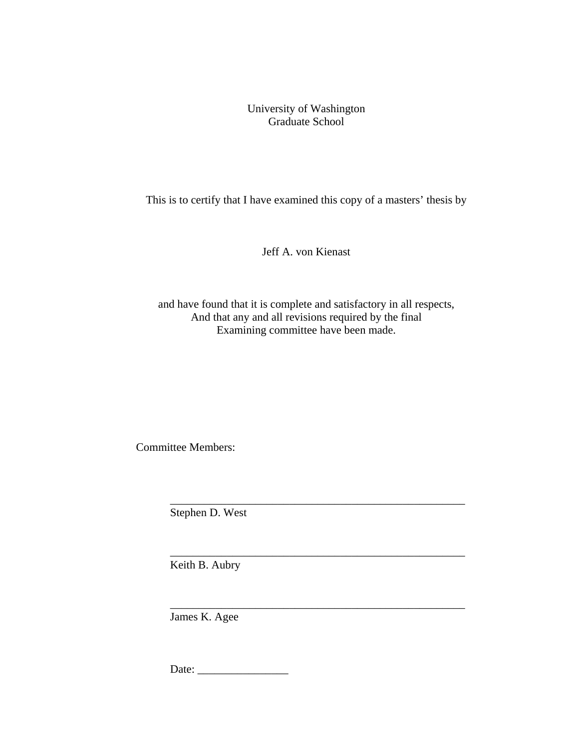University of Washington Graduate School

This is to certify that I have examined this copy of a masters' thesis by

Jeff A. von Kienast

and have found that it is complete and satisfactory in all respects, And that any and all revisions required by the final Examining committee have been made.

 $\overline{\phantom{a}}$  ,  $\overline{\phantom{a}}$  ,  $\overline{\phantom{a}}$  ,  $\overline{\phantom{a}}$  ,  $\overline{\phantom{a}}$  ,  $\overline{\phantom{a}}$  ,  $\overline{\phantom{a}}$  ,  $\overline{\phantom{a}}$  ,  $\overline{\phantom{a}}$  ,  $\overline{\phantom{a}}$  ,  $\overline{\phantom{a}}$  ,  $\overline{\phantom{a}}$  ,  $\overline{\phantom{a}}$  ,  $\overline{\phantom{a}}$  ,  $\overline{\phantom{a}}$  ,  $\overline{\phantom{a}}$ 

 $\overline{\phantom{a}}$  ,  $\overline{\phantom{a}}$  ,  $\overline{\phantom{a}}$  ,  $\overline{\phantom{a}}$  ,  $\overline{\phantom{a}}$  ,  $\overline{\phantom{a}}$  ,  $\overline{\phantom{a}}$  ,  $\overline{\phantom{a}}$  ,  $\overline{\phantom{a}}$  ,  $\overline{\phantom{a}}$  ,  $\overline{\phantom{a}}$  ,  $\overline{\phantom{a}}$  ,  $\overline{\phantom{a}}$  ,  $\overline{\phantom{a}}$  ,  $\overline{\phantom{a}}$  ,  $\overline{\phantom{a}}$ 

Committee Members:

 $\overline{\phantom{a}}$  ,  $\overline{\phantom{a}}$  ,  $\overline{\phantom{a}}$  ,  $\overline{\phantom{a}}$  ,  $\overline{\phantom{a}}$  ,  $\overline{\phantom{a}}$  ,  $\overline{\phantom{a}}$  ,  $\overline{\phantom{a}}$  ,  $\overline{\phantom{a}}$  ,  $\overline{\phantom{a}}$  ,  $\overline{\phantom{a}}$  ,  $\overline{\phantom{a}}$  ,  $\overline{\phantom{a}}$  ,  $\overline{\phantom{a}}$  ,  $\overline{\phantom{a}}$  ,  $\overline{\phantom{a}}$ Stephen D. West

Keith B. Aubry

James K. Agee

Date: \_\_\_\_\_\_\_\_\_\_\_\_\_\_\_\_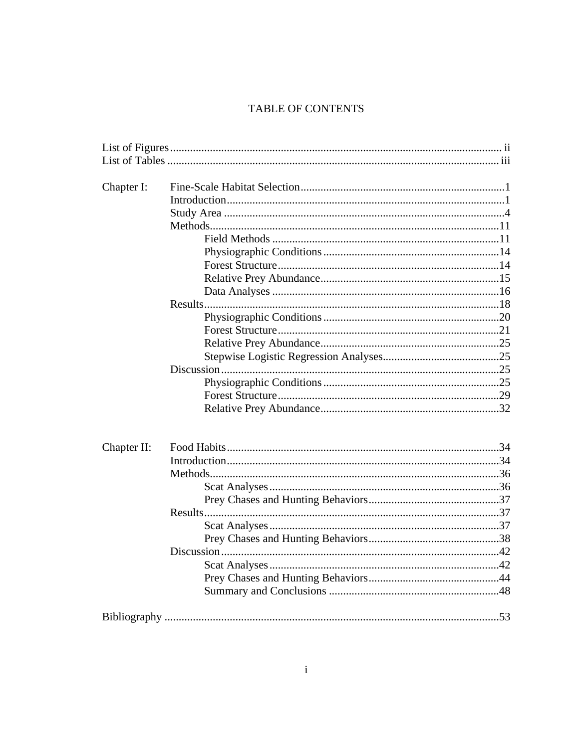# TABLE OF CONTENTS

| Chapter I:  |  |  |  |  |  |  |  |
|-------------|--|--|--|--|--|--|--|
|             |  |  |  |  |  |  |  |
|             |  |  |  |  |  |  |  |
|             |  |  |  |  |  |  |  |
|             |  |  |  |  |  |  |  |
|             |  |  |  |  |  |  |  |
|             |  |  |  |  |  |  |  |
|             |  |  |  |  |  |  |  |
|             |  |  |  |  |  |  |  |
|             |  |  |  |  |  |  |  |
|             |  |  |  |  |  |  |  |
|             |  |  |  |  |  |  |  |
|             |  |  |  |  |  |  |  |
|             |  |  |  |  |  |  |  |
|             |  |  |  |  |  |  |  |
|             |  |  |  |  |  |  |  |
|             |  |  |  |  |  |  |  |
|             |  |  |  |  |  |  |  |
|             |  |  |  |  |  |  |  |
| Chapter II: |  |  |  |  |  |  |  |
|             |  |  |  |  |  |  |  |
|             |  |  |  |  |  |  |  |
|             |  |  |  |  |  |  |  |
|             |  |  |  |  |  |  |  |
|             |  |  |  |  |  |  |  |
|             |  |  |  |  |  |  |  |
|             |  |  |  |  |  |  |  |
|             |  |  |  |  |  |  |  |
|             |  |  |  |  |  |  |  |
|             |  |  |  |  |  |  |  |
|             |  |  |  |  |  |  |  |
|             |  |  |  |  |  |  |  |
|             |  |  |  |  |  |  |  |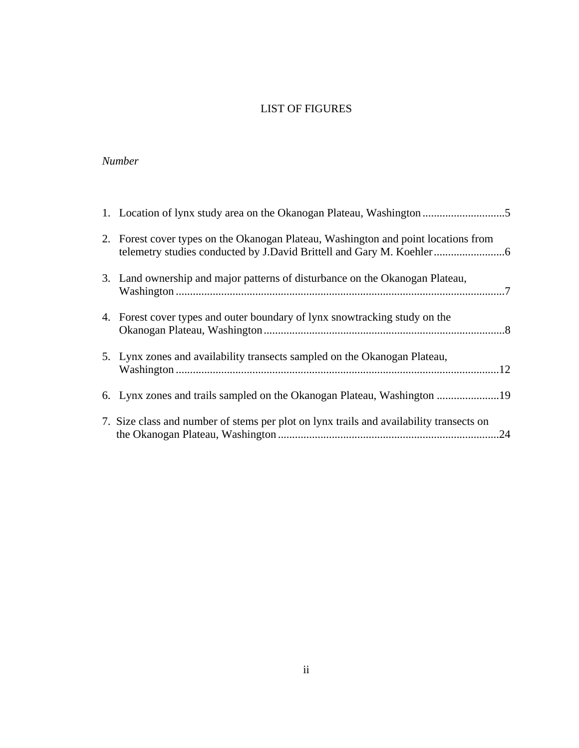# LIST OF FIGURES

# *Number*

| 2. Forest cover types on the Okanogan Plateau, Washington and point locations from      |  |
|-----------------------------------------------------------------------------------------|--|
| 3. Land ownership and major patterns of disturbance on the Okanogan Plateau,            |  |
| 4. Forest cover types and outer boundary of lynx snowtracking study on the              |  |
| 5. Lynx zones and availability transects sampled on the Okanogan Plateau,               |  |
|                                                                                         |  |
| 7. Size class and number of stems per plot on lynx trails and availability transects on |  |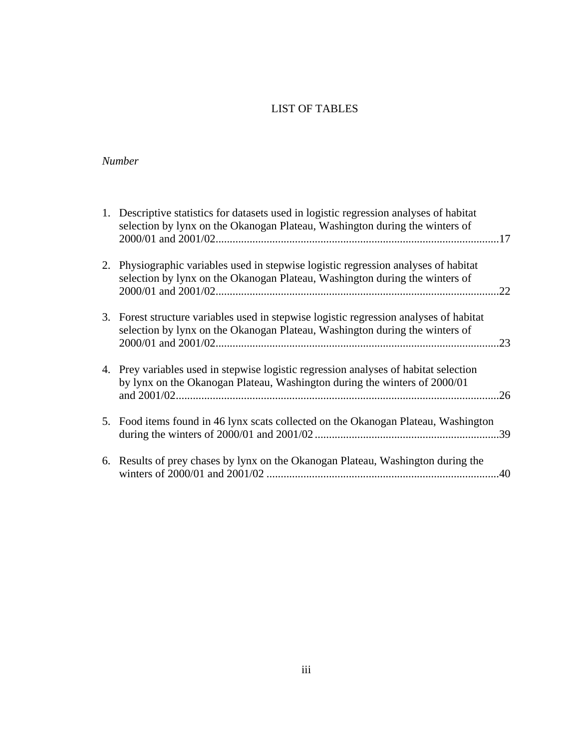# LIST OF TABLES

# *Number*

| 1. Descriptive statistics for datasets used in logistic regression analyses of habitat<br>selection by lynx on the Okanogan Plateau, Washington during the winters of |     |
|-----------------------------------------------------------------------------------------------------------------------------------------------------------------------|-----|
| 2. Physiographic variables used in stepwise logistic regression analyses of habitat<br>selection by lynx on the Okanogan Plateau, Washington during the winters of    | .22 |
| 3. Forest structure variables used in stepwise logistic regression analyses of habitat<br>selection by lynx on the Okanogan Plateau, Washington during the winters of | .23 |
| 4. Prey variables used in stepwise logistic regression analyses of habitat selection<br>by lynx on the Okanogan Plateau, Washington during the winters of 2000/01     |     |
| 5. Food items found in 46 lynx scats collected on the Okanogan Plateau, Washington                                                                                    |     |
| 6. Results of prey chases by lynx on the Okanogan Plateau, Washington during the                                                                                      |     |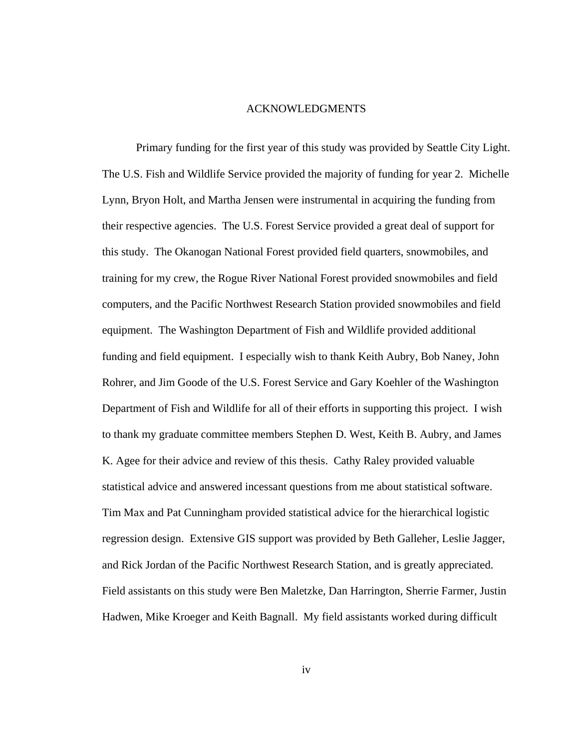#### ACKNOWLEDGMENTS

Primary funding for the first year of this study was provided by Seattle City Light. The U.S. Fish and Wildlife Service provided the majority of funding for year 2. Michelle Lynn, Bryon Holt, and Martha Jensen were instrumental in acquiring the funding from their respective agencies. The U.S. Forest Service provided a great deal of support for this study. The Okanogan National Forest provided field quarters, snowmobiles, and training for my crew, the Rogue River National Forest provided snowmobiles and field computers, and the Pacific Northwest Research Station provided snowmobiles and field equipment. The Washington Department of Fish and Wildlife provided additional funding and field equipment. I especially wish to thank Keith Aubry, Bob Naney, John Rohrer, and Jim Goode of the U.S. Forest Service and Gary Koehler of the Washington Department of Fish and Wildlife for all of their efforts in supporting this project. I wish to thank my graduate committee members Stephen D. West, Keith B. Aubry, and James K. Agee for their advice and review of this thesis. Cathy Raley provided valuable statistical advice and answered incessant questions from me about statistical software. Tim Max and Pat Cunningham provided statistical advice for the hierarchical logistic regression design. Extensive GIS support was provided by Beth Galleher, Leslie Jagger, and Rick Jordan of the Pacific Northwest Research Station, and is greatly appreciated. Field assistants on this study were Ben Maletzke, Dan Harrington, Sherrie Farmer, Justin Hadwen, Mike Kroeger and Keith Bagnall. My field assistants worked during difficult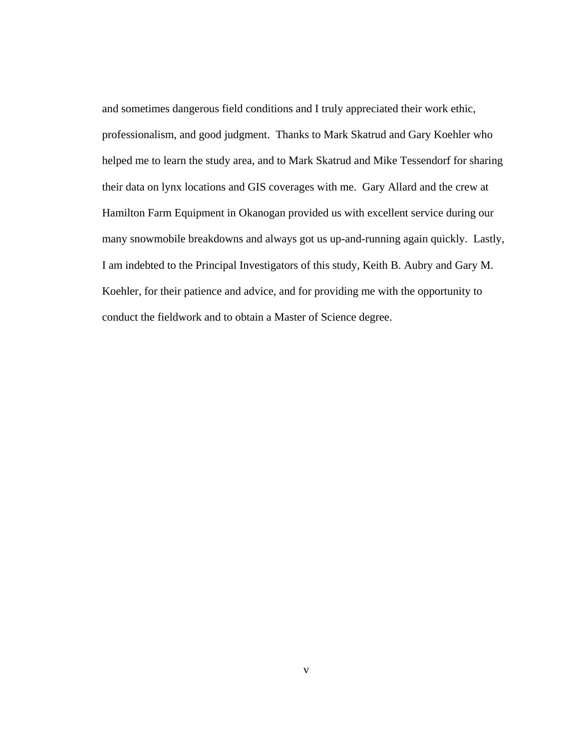and sometimes dangerous field conditions and I truly appreciated their work ethic, professionalism, and good judgment. Thanks to Mark Skatrud and Gary Koehler who helped me to learn the study area, and to Mark Skatrud and Mike Tessendorf for sharing their data on lynx locations and GIS coverages with me. Gary Allard and the crew at Hamilton Farm Equipment in Okanogan provided us with excellent service during our many snowmobile breakdowns and always got us up-and-running again quickly. Lastly, I am indebted to the Principal Investigators of this study, Keith B. Aubry and Gary M. Koehler, for their patience and advice, and for providing me with the opportunity to conduct the fieldwork and to obtain a Master of Science degree.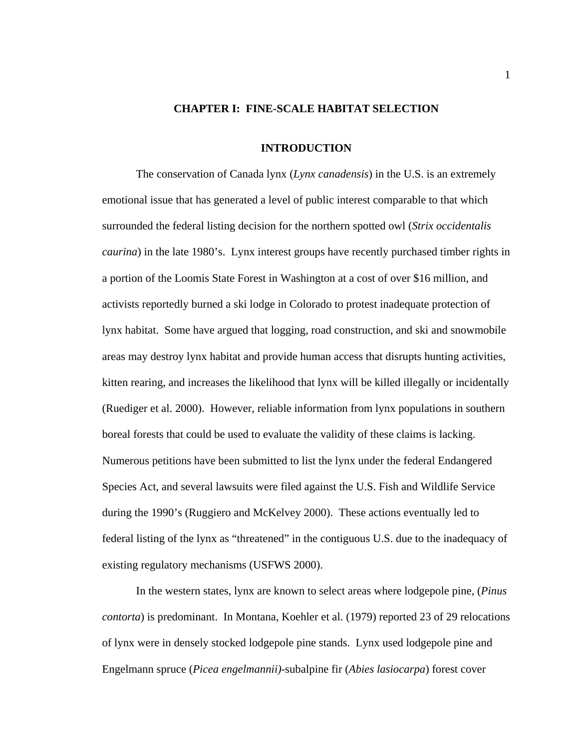# **CHAPTER I: FINE-SCALE HABITAT SELECTION**

#### **INTRODUCTION**

The conservation of Canada lynx (*Lynx canadensis*) in the U.S. is an extremely emotional issue that has generated a level of public interest comparable to that which surrounded the federal listing decision for the northern spotted owl (*Strix occidentalis caurina*) in the late 1980's. Lynx interest groups have recently purchased timber rights in a portion of the Loomis State Forest in Washington at a cost of over \$16 million, and activists reportedly burned a ski lodge in Colorado to protest inadequate protection of lynx habitat. Some have argued that logging, road construction, and ski and snowmobile areas may destroy lynx habitat and provide human access that disrupts hunting activities, kitten rearing, and increases the likelihood that lynx will be killed illegally or incidentally (Ruediger et al. 2000). However, reliable information from lynx populations in southern boreal forests that could be used to evaluate the validity of these claims is lacking. Numerous petitions have been submitted to list the lynx under the federal Endangered Species Act, and several lawsuits were filed against the U.S. Fish and Wildlife Service during the 1990's (Ruggiero and McKelvey 2000). These actions eventually led to federal listing of the lynx as "threatened" in the contiguous U.S. due to the inadequacy of existing regulatory mechanisms (USFWS 2000).

 In the western states, lynx are known to select areas where lodgepole pine, (*Pinus contorta*) is predominant. In Montana, Koehler et al. (1979) reported 23 of 29 relocations of lynx were in densely stocked lodgepole pine stands. Lynx used lodgepole pine and Engelmann spruce (*Picea engelmannii)*-subalpine fir (*Abies lasiocarpa*) forest cover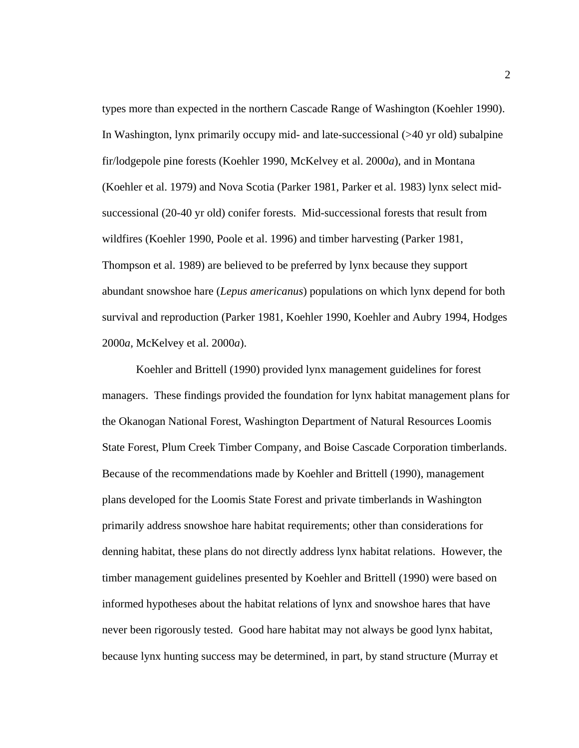types more than expected in the northern Cascade Range of Washington (Koehler 1990). In Washington, lynx primarily occupy mid- and late-successional (>40 yr old) subalpine fir/lodgepole pine forests (Koehler 1990, McKelvey et al. 2000*a*), and in Montana (Koehler et al. 1979) and Nova Scotia (Parker 1981, Parker et al. 1983) lynx select midsuccessional (20-40 yr old) conifer forests. Mid-successional forests that result from wildfires (Koehler 1990, Poole et al. 1996) and timber harvesting (Parker 1981, Thompson et al. 1989) are believed to be preferred by lynx because they support abundant snowshoe hare (*Lepus americanus*) populations on which lynx depend for both survival and reproduction (Parker 1981, Koehler 1990, Koehler and Aubry 1994, Hodges 2000*a*, McKelvey et al. 2000*a*).

 Koehler and Brittell (1990) provided lynx management guidelines for forest managers. These findings provided the foundation for lynx habitat management plans for the Okanogan National Forest, Washington Department of Natural Resources Loomis State Forest, Plum Creek Timber Company, and Boise Cascade Corporation timberlands. Because of the recommendations made by Koehler and Brittell (1990), management plans developed for the Loomis State Forest and private timberlands in Washington primarily address snowshoe hare habitat requirements; other than considerations for denning habitat, these plans do not directly address lynx habitat relations. However, the timber management guidelines presented by Koehler and Brittell (1990) were based on informed hypotheses about the habitat relations of lynx and snowshoe hares that have never been rigorously tested. Good hare habitat may not always be good lynx habitat, because lynx hunting success may be determined, in part, by stand structure (Murray et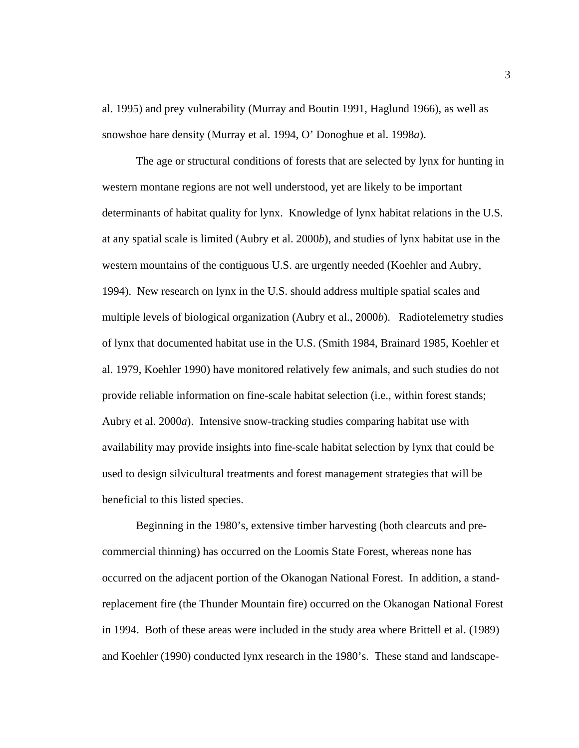al. 1995) and prey vulnerability (Murray and Boutin 1991, Haglund 1966), as well as snowshoe hare density (Murray et al. 1994, O' Donoghue et al. 1998*a*).

The age or structural conditions of forests that are selected by lynx for hunting in western montane regions are not well understood, yet are likely to be important determinants of habitat quality for lynx. Knowledge of lynx habitat relations in the U.S. at any spatial scale is limited (Aubry et al. 2000*b*), and studies of lynx habitat use in the western mountains of the contiguous U.S. are urgently needed (Koehler and Aubry, 1994). New research on lynx in the U.S. should address multiple spatial scales and multiple levels of biological organization (Aubry et al., 2000*b*). Radiotelemetry studies of lynx that documented habitat use in the U.S. (Smith 1984, Brainard 1985, Koehler et al. 1979, Koehler 1990) have monitored relatively few animals, and such studies do not provide reliable information on fine-scale habitat selection (i.e., within forest stands; Aubry et al. 2000*a*). Intensive snow-tracking studies comparing habitat use with availability may provide insights into fine-scale habitat selection by lynx that could be used to design silvicultural treatments and forest management strategies that will be beneficial to this listed species.

Beginning in the 1980's, extensive timber harvesting (both clearcuts and precommercial thinning) has occurred on the Loomis State Forest, whereas none has occurred on the adjacent portion of the Okanogan National Forest. In addition, a standreplacement fire (the Thunder Mountain fire) occurred on the Okanogan National Forest in 1994. Both of these areas were included in the study area where Brittell et al. (1989) and Koehler (1990) conducted lynx research in the 1980's. These stand and landscape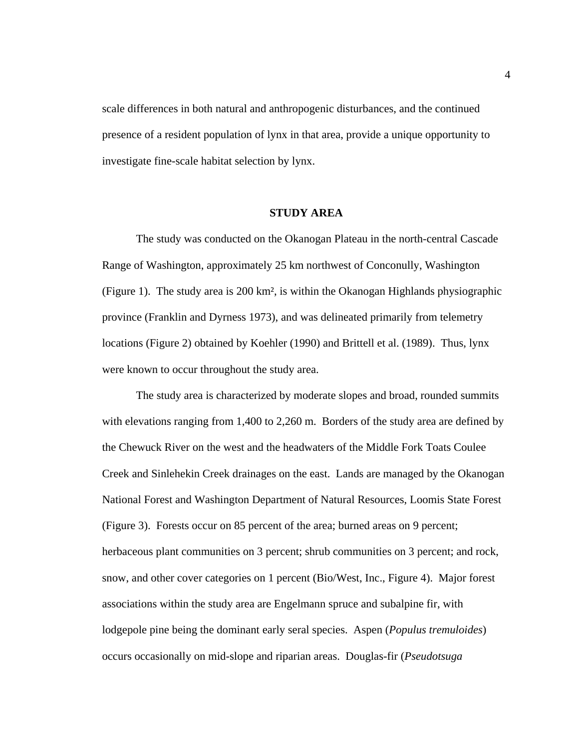scale differences in both natural and anthropogenic disturbances, and the continued presence of a resident population of lynx in that area, provide a unique opportunity to investigate fine-scale habitat selection by lynx.

# **STUDY AREA**

The study was conducted on the Okanogan Plateau in the north-central Cascade Range of Washington, approximately 25 km northwest of Conconully, Washington (Figure 1). The study area is 200 km², is within the Okanogan Highlands physiographic province (Franklin and Dyrness 1973), and was delineated primarily from telemetry locations (Figure 2) obtained by Koehler (1990) and Brittell et al. (1989). Thus, lynx were known to occur throughout the study area.

The study area is characterized by moderate slopes and broad, rounded summits with elevations ranging from 1,400 to 2,260 m. Borders of the study area are defined by the Chewuck River on the west and the headwaters of the Middle Fork Toats Coulee Creek and Sinlehekin Creek drainages on the east. Lands are managed by the Okanogan National Forest and Washington Department of Natural Resources, Loomis State Forest (Figure 3). Forests occur on 85 percent of the area; burned areas on 9 percent; herbaceous plant communities on 3 percent; shrub communities on 3 percent; and rock, snow, and other cover categories on 1 percent (Bio/West, Inc., Figure 4).Major forest associations within the study area are Engelmann spruce and subalpine fir, with lodgepole pine being the dominant early seral species. Aspen (*Populus tremuloides*) occurs occasionally on mid-slope and riparian areas. Douglas-fir (*Pseudotsuga*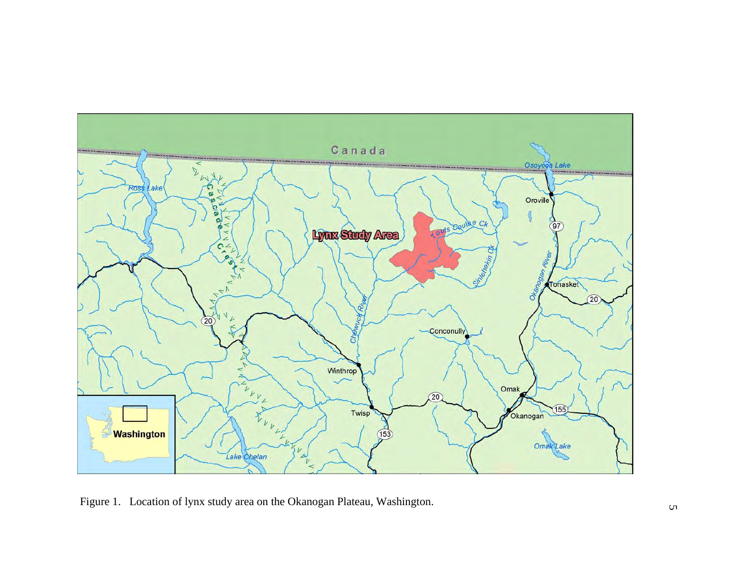

Figure 1. Location of lynx study area on the Okanogan Plateau, Washington.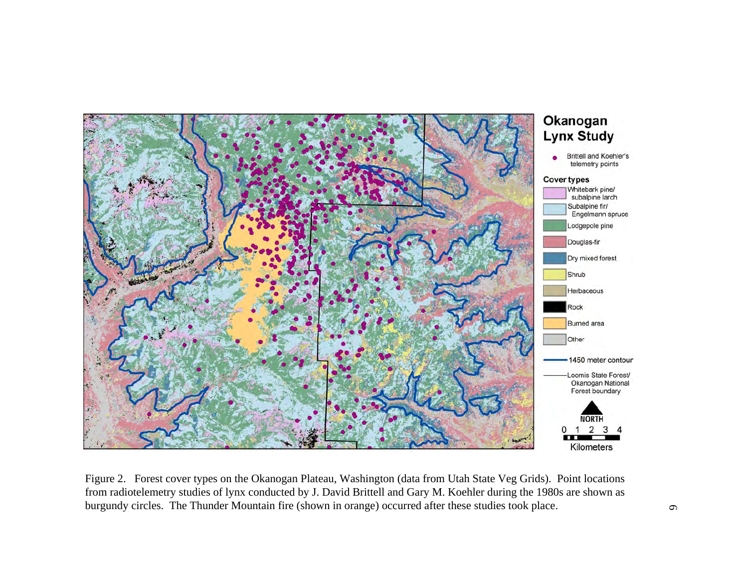

Figure 2. Forest cover types on the Okanogan Plateau, Washington (data from Utah State Veg Grids). Point locations from radiotelemetry studies of lynx conducted by J. David Brittell and Gary M. Koehler during the 1980s are shown as burgundy circles. The Thunder Mountain fire (shown in orange) occurred after these studies took place.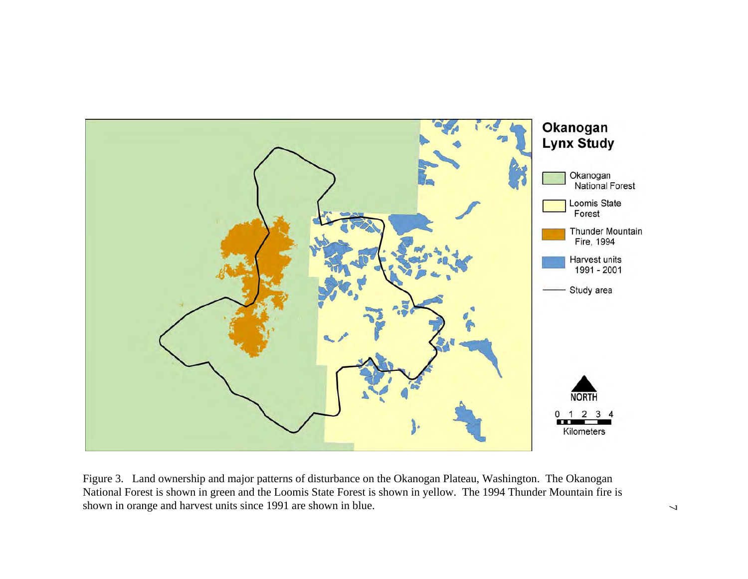

Figure 3. Land ownership and major patterns of disturbance on the Okanogan Plateau, Washington. The Okanogan National Forest is shown in green and the Loomis State Forest is shown in yellow. The 1994 Thunder Mountain fire is shown in orange and harvest units since 1991 are shown in blue.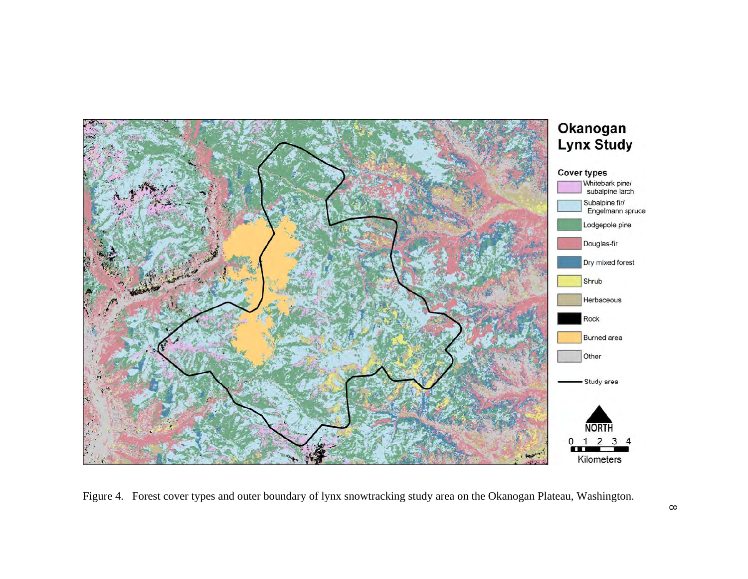

Figure 4. Forest cover types and outer boundary of lynx snowtracking study area on the Okanogan Plateau, Washington.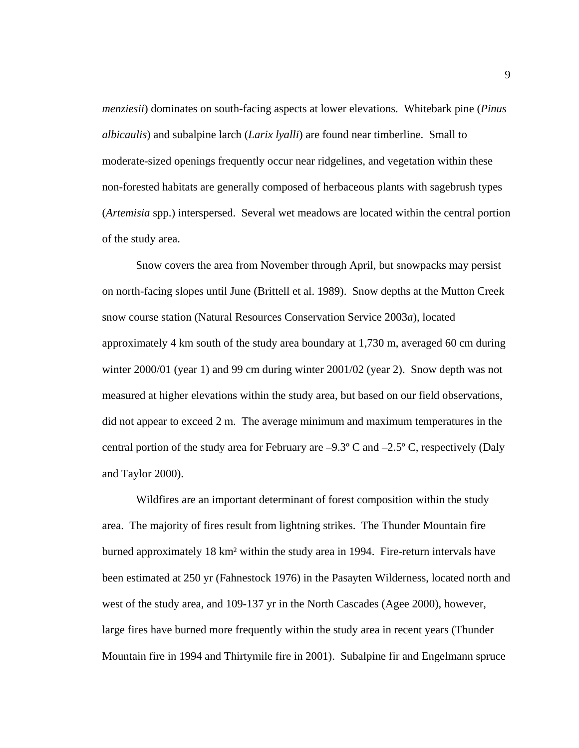*menziesii*) dominates on south-facing aspects at lower elevations. Whitebark pine (*Pinus albicaulis*) and subalpine larch (*Larix lyalli*) are found near timberline. Small to moderate-sized openings frequently occur near ridgelines, and vegetation within these non-forested habitats are generally composed of herbaceous plants with sagebrush types (*Artemisia* spp.) interspersed. Several wet meadows are located within the central portion of the study area.

Snow covers the area from November through April, but snowpacks may persist on north-facing slopes until June (Brittell et al. 1989). Snow depths at the Mutton Creek snow course station (Natural Resources Conservation Service 2003*a*), located approximately 4 km south of the study area boundary at 1,730 m, averaged 60 cm during winter 2000/01 (year 1) and 99 cm during winter 2001/02 (year 2). Snow depth was not measured at higher elevations within the study area, but based on our field observations, did not appear to exceed 2 m. The average minimum and maximum temperatures in the central portion of the study area for February are  $-9.3^{\circ}$  C and  $-2.5^{\circ}$  C, respectively (Daly and Taylor 2000).

Wildfires are an important determinant of forest composition within the study area. The majority of fires result from lightning strikes. The Thunder Mountain fire burned approximately 18 km² within the study area in 1994. Fire-return intervals have been estimated at 250 yr (Fahnestock 1976) in the Pasayten Wilderness, located north and west of the study area, and 109-137 yr in the North Cascades (Agee 2000), however, large fires have burned more frequently within the study area in recent years (Thunder Mountain fire in 1994 and Thirtymile fire in 2001). Subalpine fir and Engelmann spruce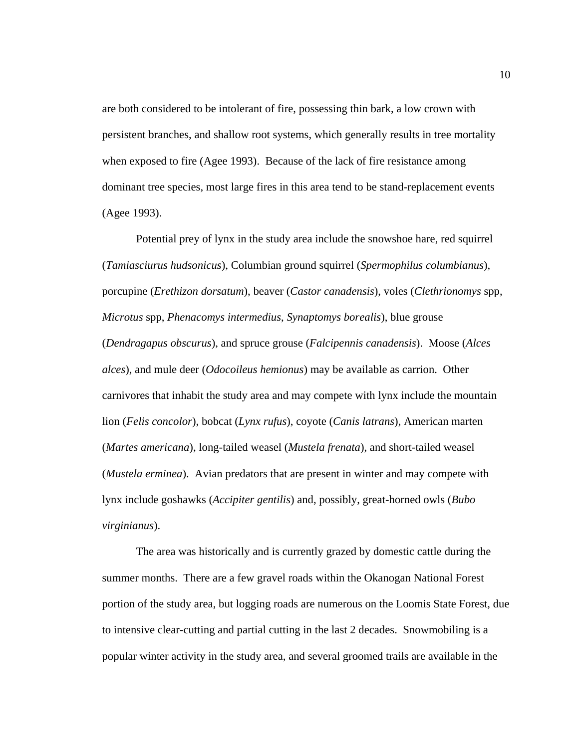are both considered to be intolerant of fire, possessing thin bark, a low crown with persistent branches, and shallow root systems, which generally results in tree mortality when exposed to fire (Agee 1993). Because of the lack of fire resistance among dominant tree species, most large fires in this area tend to be stand-replacement events (Agee 1993).

Potential prey of lynx in the study area include the snowshoe hare, red squirrel (*Tamiasciurus hudsonicus*), Columbian ground squirrel (*Spermophilus columbianus*), porcupine (*Erethizon dorsatum*), beaver (*Castor canadensis*), voles (*Clethrionomys* spp, *Microtus* spp, *Phenacomys intermedius*, *Synaptomys borealis*), blue grouse (*Dendragapus obscurus*), and spruce grouse (*Falcipennis canadensis*). Moose (*Alces alces*), and mule deer (*Odocoileus hemionus*) may be available as carrion. Other carnivores that inhabit the study area and may compete with lynx include the mountain lion (*Felis concolor*), bobcat (*Lynx rufus*), coyote (*Canis latrans*), American marten (*Martes americana*), long-tailed weasel (*Mustela frenata*), and short-tailed weasel (*Mustela erminea*). Avian predators that are present in winter and may compete with lynx include goshawks (*Accipiter gentilis*) and, possibly, great-horned owls (*Bubo virginianus*).

The area was historically and is currently grazed by domestic cattle during the summer months. There are a few gravel roads within the Okanogan National Forest portion of the study area, but logging roads are numerous on the Loomis State Forest, due to intensive clear-cutting and partial cutting in the last 2 decades. Snowmobiling is a popular winter activity in the study area, and several groomed trails are available in the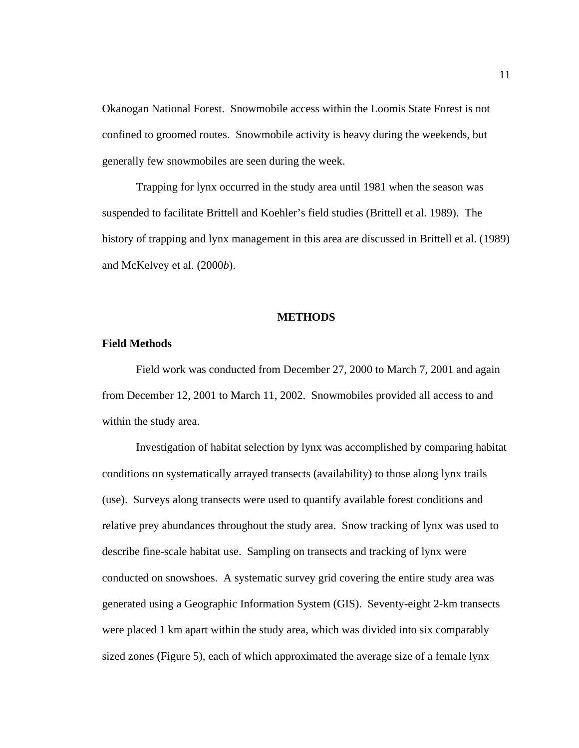Okanogan National Forest. Snowmobile access within the Loomis State Forest is not confined to groomed routes. Snowmobile activity is heavy during the weekends, but generally few snowmobiles are seen during the week.

Trapping for lynx occurred in the study area until 1981 when the season was suspended to facilitate Brittell and Koehler's field studies (Brittell et al. 1989). The history of trapping and lynx management in this area are discussed in Brittell et al. (1989) and McKelvey et al. (2000*b*).

#### **METHODS**

# **Field Methods**

Field work was conducted from December 27, 2000 to March 7, 2001 and again from December 12, 2001 to March 11, 2002. Snowmobiles provided all access to and within the study area.

Investigation of habitat selection by lynx was accomplished by comparing habitat conditions on systematically arrayed transects (availability) to those along lynx trails (use). Surveys along transects were used to quantify available forest conditions and relative prey abundances throughout the study area. Snow tracking of lynx was used to describe fine-scale habitat use. Sampling on transects and tracking of lynx were conducted on snowshoes. A systematic survey grid covering the entire study area was generated using a Geographic Information System (GIS). Seventy-eight 2-km transects were placed 1 km apart within the study area, which was divided into six comparably sized zones (Figure 5), each of which approximated the average size of a female lynx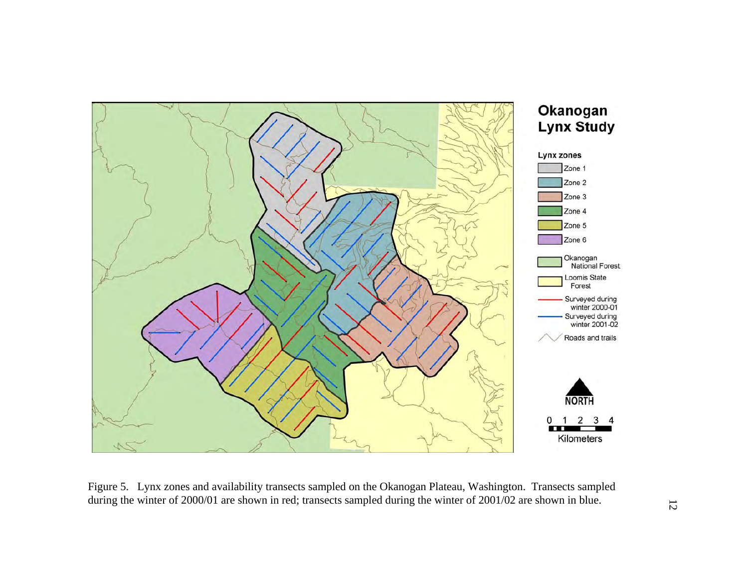

Figure 5. Lynx zones and availability transects sampled on the Okanogan Plateau, Washington. Transects sampled during the winter of 2000/01 are shown in red; transects sampled during the winter of 2001/02 are shown in blue.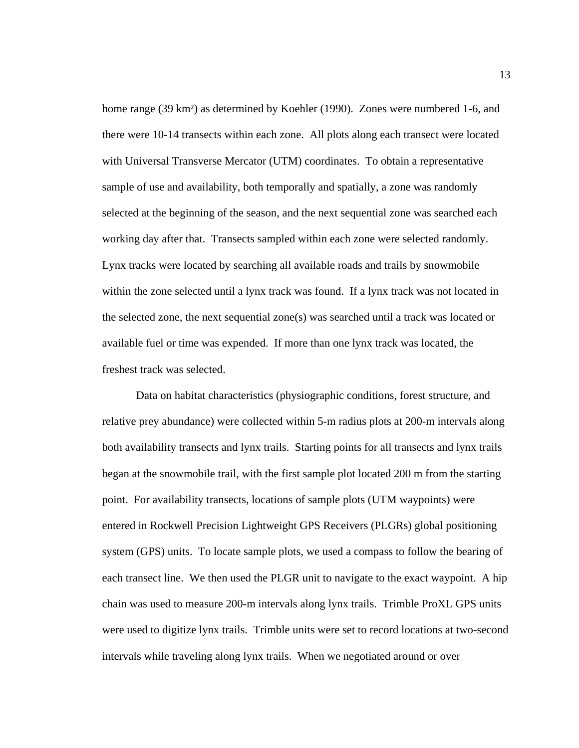home range (39 km<sup>2</sup>) as determined by Koehler (1990). Zones were numbered 1-6, and there were 10-14 transects within each zone. All plots along each transect were located with Universal Transverse Mercator (UTM) coordinates. To obtain a representative sample of use and availability, both temporally and spatially, a zone was randomly selected at the beginning of the season, and the next sequential zone was searched each working day after that. Transects sampled within each zone were selected randomly. Lynx tracks were located by searching all available roads and trails by snowmobile within the zone selected until a lynx track was found. If a lynx track was not located in the selected zone, the next sequential zone(s) was searched until a track was located or available fuel or time was expended. If more than one lynx track was located, the freshest track was selected.

 Data on habitat characteristics (physiographic conditions, forest structure, and relative prey abundance) were collected within 5-m radius plots at 200-m intervals along both availability transects and lynx trails. Starting points for all transects and lynx trails began at the snowmobile trail, with the first sample plot located 200 m from the starting point. For availability transects, locations of sample plots (UTM waypoints) were entered in Rockwell Precision Lightweight GPS Receivers (PLGRs) global positioning system (GPS) units. To locate sample plots, we used a compass to follow the bearing of each transect line. We then used the PLGR unit to navigate to the exact waypoint. A hip chain was used to measure 200-m intervals along lynx trails. Trimble ProXL GPS units were used to digitize lynx trails. Trimble units were set to record locations at two-second intervals while traveling along lynx trails. When we negotiated around or over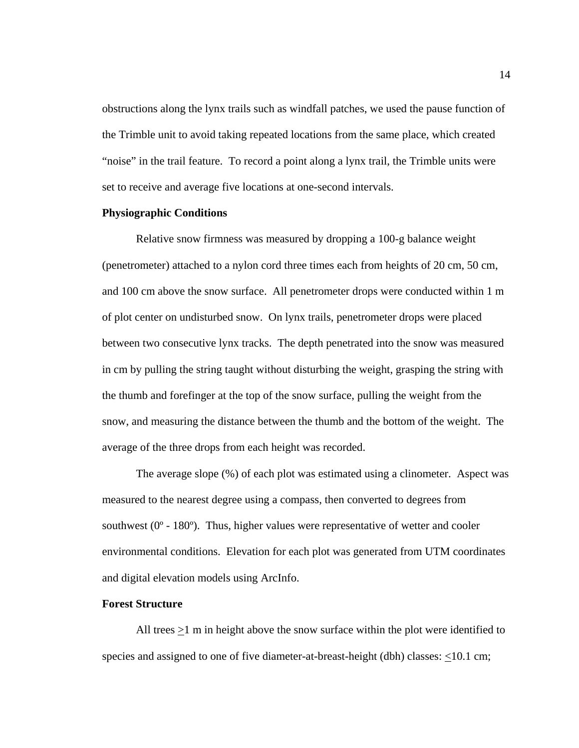obstructions along the lynx trails such as windfall patches, we used the pause function of the Trimble unit to avoid taking repeated locations from the same place, which created "noise" in the trail feature. To record a point along a lynx trail, the Trimble units were set to receive and average five locations at one-second intervals.

# **Physiographic Conditions**

Relative snow firmness was measured by dropping a 100-g balance weight (penetrometer) attached to a nylon cord three times each from heights of 20 cm, 50 cm, and 100 cm above the snow surface. All penetrometer drops were conducted within 1 m of plot center on undisturbed snow. On lynx trails, penetrometer drops were placed between two consecutive lynx tracks. The depth penetrated into the snow was measured in cm by pulling the string taught without disturbing the weight, grasping the string with the thumb and forefinger at the top of the snow surface, pulling the weight from the snow, and measuring the distance between the thumb and the bottom of the weight. The average of the three drops from each height was recorded.

 The average slope (%) of each plot was estimated using a clinometer. Aspect was measured to the nearest degree using a compass, then converted to degrees from southwest  $(0^{\circ} - 180^{\circ})$ . Thus, higher values were representative of wetter and cooler environmental conditions. Elevation for each plot was generated from UTM coordinates and digital elevation models using ArcInfo.

# **Forest Structure**

 All trees >1 m in height above the snow surface within the plot were identified to species and assigned to one of five diameter-at-breast-height (dbh) classes: <10.1 cm;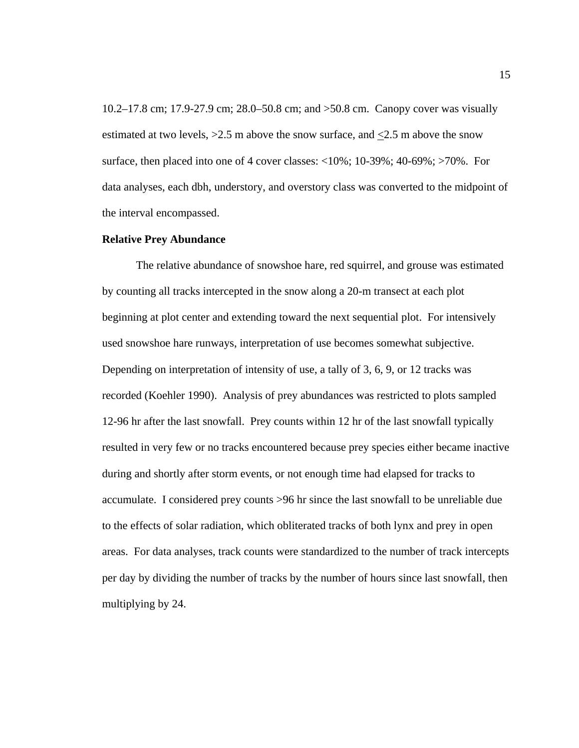10.2–17.8 cm; 17.9-27.9 cm; 28.0–50.8 cm; and >50.8 cm. Canopy cover was visually estimated at two levels,  $>2.5$  m above the snow surface, and  $\leq 2.5$  m above the snow surface, then placed into one of 4 cover classes:  $\langle 10\%; 10\text{-}39\%; 40\text{-}69\%; \rangle$  70%. For data analyses, each dbh, understory, and overstory class was converted to the midpoint of the interval encompassed.

## **Relative Prey Abundance**

The relative abundance of snowshoe hare, red squirrel, and grouse was estimated by counting all tracks intercepted in the snow along a 20-m transect at each plot beginning at plot center and extending toward the next sequential plot. For intensively used snowshoe hare runways, interpretation of use becomes somewhat subjective. Depending on interpretation of intensity of use, a tally of 3, 6, 9, or 12 tracks was recorded (Koehler 1990). Analysis of prey abundances was restricted to plots sampled 12-96 hr after the last snowfall. Prey counts within 12 hr of the last snowfall typically resulted in very few or no tracks encountered because prey species either became inactive during and shortly after storm events, or not enough time had elapsed for tracks to accumulate. I considered prey counts >96 hr since the last snowfall to be unreliable due to the effects of solar radiation, which obliterated tracks of both lynx and prey in open areas. For data analyses, track counts were standardized to the number of track intercepts per day by dividing the number of tracks by the number of hours since last snowfall, then multiplying by 24.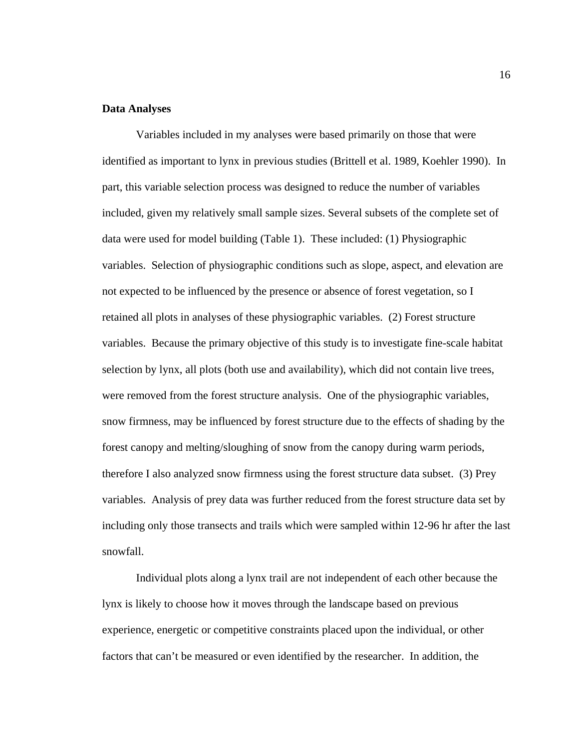# **Data Analyses**

Variables included in my analyses were based primarily on those that were identified as important to lynx in previous studies (Brittell et al. 1989, Koehler 1990). In part, this variable selection process was designed to reduce the number of variables included, given my relatively small sample sizes. Several subsets of the complete set of data were used for model building (Table 1). These included: (1) Physiographic variables. Selection of physiographic conditions such as slope, aspect, and elevation are not expected to be influenced by the presence or absence of forest vegetation, so I retained all plots in analyses of these physiographic variables. (2) Forest structure variables. Because the primary objective of this study is to investigate fine-scale habitat selection by lynx, all plots (both use and availability), which did not contain live trees, were removed from the forest structure analysis. One of the physiographic variables, snow firmness, may be influenced by forest structure due to the effects of shading by the forest canopy and melting/sloughing of snow from the canopy during warm periods, therefore I also analyzed snow firmness using the forest structure data subset. (3) Prey variables. Analysis of prey data was further reduced from the forest structure data set by including only those transects and trails which were sampled within 12-96 hr after the last snowfall.

Individual plots along a lynx trail are not independent of each other because the lynx is likely to choose how it moves through the landscape based on previous experience, energetic or competitive constraints placed upon the individual, or other factors that can't be measured or even identified by the researcher. In addition, the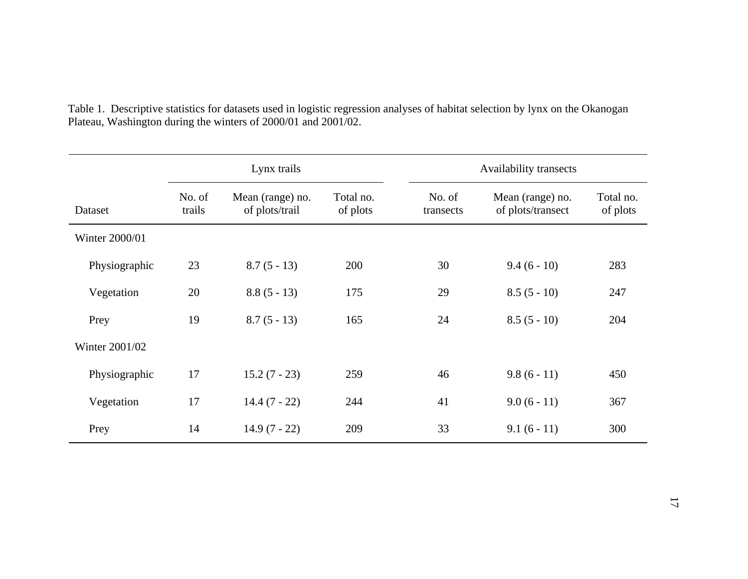|                | Lynx trails      |                                    |                       | Availability transects |                                       |                       |  |
|----------------|------------------|------------------------------------|-----------------------|------------------------|---------------------------------------|-----------------------|--|
| Dataset        | No. of<br>trails | Mean (range) no.<br>of plots/trail | Total no.<br>of plots | No. of<br>transects    | Mean (range) no.<br>of plots/transect | Total no.<br>of plots |  |
| Winter 2000/01 |                  |                                    |                       |                        |                                       |                       |  |
| Physiographic  | 23               | $8.7(5-13)$                        | 200                   | 30                     | $9.4(6-10)$                           | 283                   |  |
| Vegetation     | 20               | $8.8(5-13)$                        | 175                   | 29                     | $8.5(5-10)$                           | 247                   |  |
| Prey           | 19               | $8.7(5-13)$                        | 165                   | 24                     | $8.5(5-10)$                           | 204                   |  |
| Winter 2001/02 |                  |                                    |                       |                        |                                       |                       |  |
| Physiographic  | 17               | $15.2(7 - 23)$                     | 259                   | 46                     | $9.8(6-11)$                           | 450                   |  |
| Vegetation     | 17               | $14.4(7 - 22)$                     | 244                   | 41                     | $9.0(6-11)$                           | 367                   |  |
| Prey           | 14               | $14.9(7 - 22)$                     | 209                   | 33                     | $9.1(6-11)$                           | 300                   |  |

Table 1. Descriptive statistics for datasets used in logistic regression analyses of habitat selection by lynx on the Okanogan Plateau, Washington during the winters of 2000/01 and 2001/02.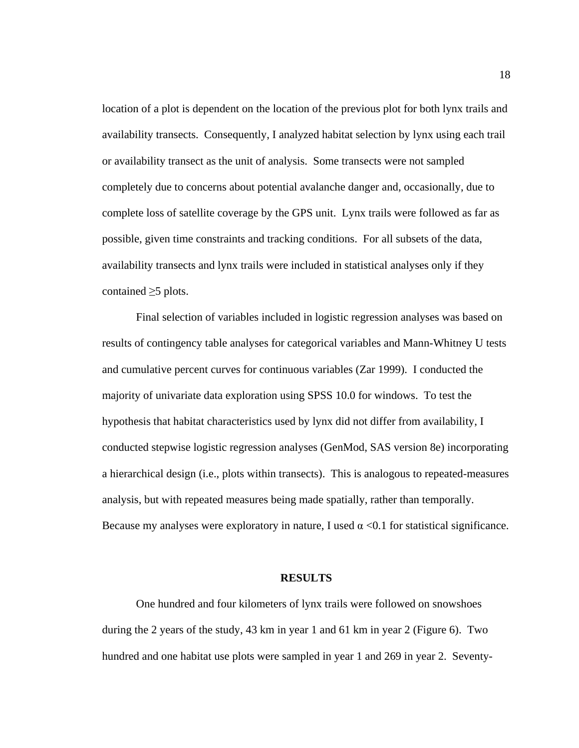location of a plot is dependent on the location of the previous plot for both lynx trails and availability transects. Consequently, I analyzed habitat selection by lynx using each trail or availability transect as the unit of analysis. Some transects were not sampled completely due to concerns about potential avalanche danger and, occasionally, due to complete loss of satellite coverage by the GPS unit. Lynx trails were followed as far as possible, given time constraints and tracking conditions. For all subsets of the data, availability transects and lynx trails were included in statistical analyses only if they contained  $\geq$ 5 plots.

Final selection of variables included in logistic regression analyses was based on results of contingency table analyses for categorical variables and Mann-Whitney U tests and cumulative percent curves for continuous variables (Zar 1999). I conducted the majority of univariate data exploration using SPSS 10.0 for windows. To test the hypothesis that habitat characteristics used by lynx did not differ from availability, I conducted stepwise logistic regression analyses (GenMod, SAS version 8e) incorporating a hierarchical design (i.e., plots within transects). This is analogous to repeated-measures analysis, but with repeated measures being made spatially, rather than temporally. Because my analyses were exploratory in nature, I used  $\alpha$  <0.1 for statistical significance.

#### **RESULTS**

One hundred and four kilometers of lynx trails were followed on snowshoes during the 2 years of the study, 43 km in year 1 and 61 km in year 2 (Figure 6). Two hundred and one habitat use plots were sampled in year 1 and 269 in year 2. Seventy-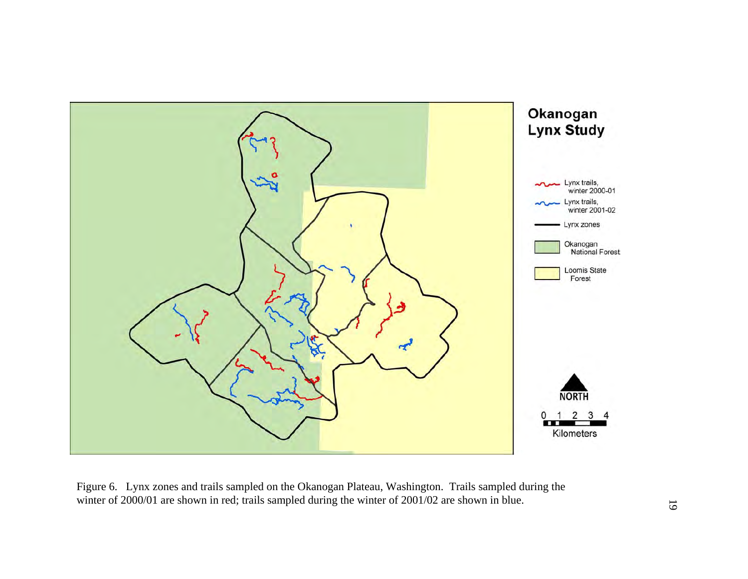

Figure 6. Lynx zones and trails sampled on the Okanogan Plateau, Washington. Trails sampled during the winter of 2000/01 are shown in red; trails sampled during the winter of 2001/02 are shown in blue.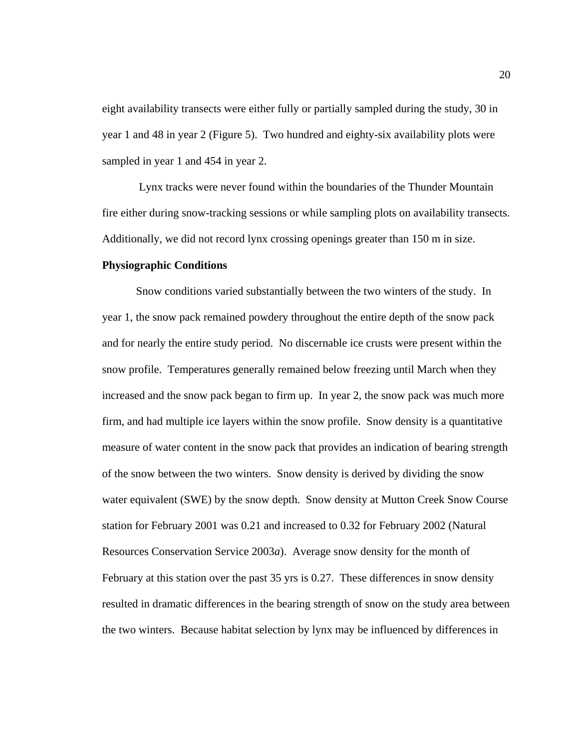eight availability transects were either fully or partially sampled during the study, 30 in year 1 and 48 in year 2 (Figure 5). Two hundred and eighty-six availability plots were sampled in year 1 and 454 in year 2.

 Lynx tracks were never found within the boundaries of the Thunder Mountain fire either during snow-tracking sessions or while sampling plots on availability transects. Additionally, we did not record lynx crossing openings greater than 150 m in size.

### **Physiographic Conditions**

 Snow conditions varied substantially between the two winters of the study. In year 1, the snow pack remained powdery throughout the entire depth of the snow pack and for nearly the entire study period. No discernable ice crusts were present within the snow profile. Temperatures generally remained below freezing until March when they increased and the snow pack began to firm up. In year 2, the snow pack was much more firm, and had multiple ice layers within the snow profile. Snow density is a quantitative measure of water content in the snow pack that provides an indication of bearing strength of the snow between the two winters. Snow density is derived by dividing the snow water equivalent (SWE) by the snow depth. Snow density at Mutton Creek Snow Course station for February 2001 was 0.21 and increased to 0.32 for February 2002 (Natural Resources Conservation Service 2003*a*). Average snow density for the month of February at this station over the past 35 yrs is 0.27. These differences in snow density resulted in dramatic differences in the bearing strength of snow on the study area between the two winters. Because habitat selection by lynx may be influenced by differences in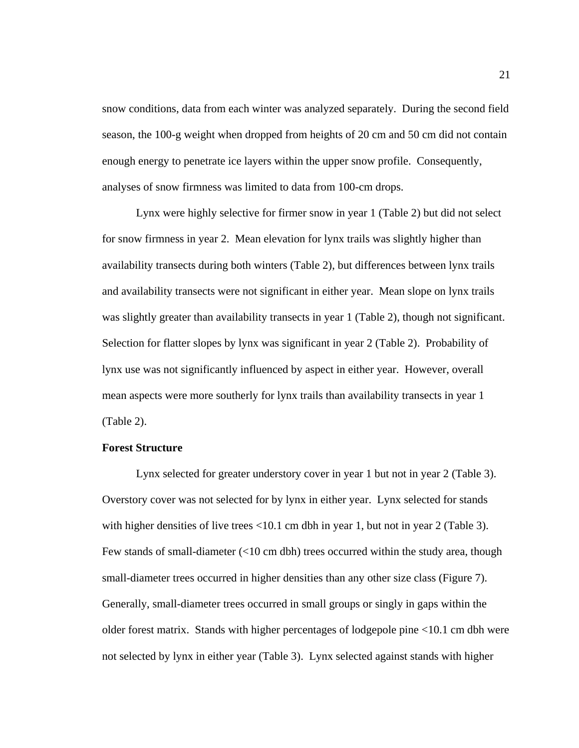snow conditions, data from each winter was analyzed separately. During the second field season, the 100-g weight when dropped from heights of 20 cm and 50 cm did not contain enough energy to penetrate ice layers within the upper snow profile. Consequently, analyses of snow firmness was limited to data from 100-cm drops.

Lynx were highly selective for firmer snow in year 1 (Table 2) but did not select for snow firmness in year 2.Mean elevation for lynx trails was slightly higher than availability transects during both winters (Table 2), but differences between lynx trails and availability transects were not significant in either year. Mean slope on lynx trails was slightly greater than availability transects in year 1 (Table 2), though not significant. Selection for flatter slopes by lynx was significant in year 2 (Table 2). Probability of lynx use was not significantly influenced by aspect in either year. However, overall mean aspects were more southerly for lynx trails than availability transects in year 1 (Table 2).

### **Forest Structure**

Lynx selected for greater understory cover in year 1 but not in year 2 (Table 3). Overstory cover was not selected for by lynx in either year. Lynx selected for stands with higher densities of live trees  $\langle 10.1 \text{ cm}$  dbh in year 1, but not in year 2 (Table 3). Few stands of small-diameter (<10 cm dbh) trees occurred within the study area, though small-diameter trees occurred in higher densities than any other size class (Figure 7). Generally, small-diameter trees occurred in small groups or singly in gaps within the older forest matrix.Stands with higher percentages of lodgepole pine <10.1 cm dbh were not selected by lynx in either year (Table 3). Lynx selected against stands with higher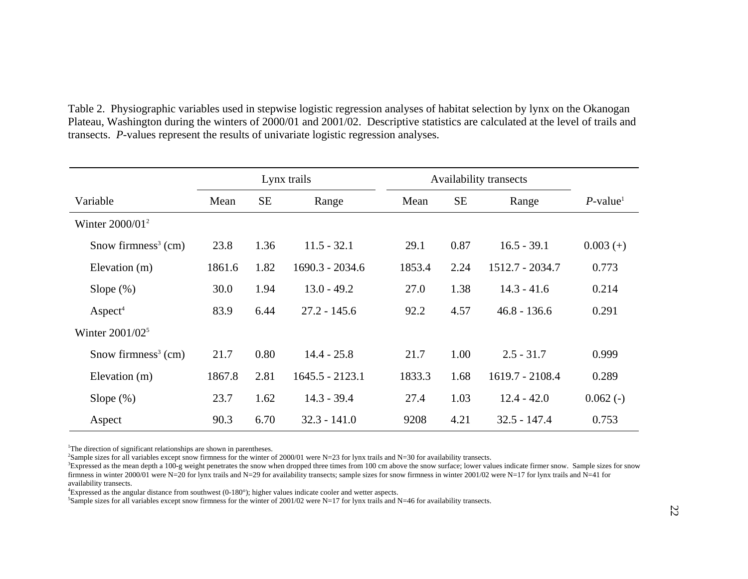| Table 2. Physiographic variables used in stepwise logistic regression analyses of habitat selection by lynx on the Okanogan     |
|---------------------------------------------------------------------------------------------------------------------------------|
| Plateau, Washington during the winters of 2000/01 and 2001/02. Descriptive statistics are calculated at the level of trails and |
| transects. P-values represent the results of univariate logistic regression analyses.                                           |

|                                 | Lynx trails |           | Availability transects |        |           |                 |                         |
|---------------------------------|-------------|-----------|------------------------|--------|-----------|-----------------|-------------------------|
| Variable                        | Mean        | <b>SE</b> | Range                  | Mean   | <b>SE</b> | Range           | $P$ -value <sup>1</sup> |
| Winter $2000/01^2$              |             |           |                        |        |           |                 |                         |
| Snow firmness <sup>3</sup> (cm) | 23.8        | 1.36      | $11.5 - 32.1$          | 29.1   | 0.87      | $16.5 - 39.1$   | $0.003 (+)$             |
| Elevation (m)                   | 1861.6      | 1.82      | $1690.3 - 2034.6$      | 1853.4 | 2.24      | 1512.7 - 2034.7 | 0.773                   |
| Slope $(\%)$                    | 30.0        | 1.94      | $13.0 - 49.2$          | 27.0   | 1.38      | $14.3 - 41.6$   | 0.214                   |
| Aspect <sup>4</sup>             | 83.9        | 6.44      | $27.2 - 145.6$         | 92.2   | 4.57      | $46.8 - 136.6$  | 0.291                   |
| Winter $2001/02^5$              |             |           |                        |        |           |                 |                         |
| Snow firmness <sup>3</sup> (cm) | 21.7        | 0.80      | $14.4 - 25.8$          | 21.7   | 1.00      | $2.5 - 31.7$    | 0.999                   |
| Elevation (m)                   | 1867.8      | 2.81      | $1645.5 - 2123.1$      | 1833.3 | 1.68      | 1619.7 - 2108.4 | 0.289                   |
| Slope $(\%)$                    | 23.7        | 1.62      | $14.3 - 39.4$          | 27.4   | 1.03      | $12.4 - 42.0$   | $0.062$ (-)             |
| Aspect                          | 90.3        | 6.70      | $32.3 - 141.0$         | 9208   | 4.21      | $32.5 - 147.4$  | 0.753                   |

<sup>1</sup>The direction of significant relationships are shown in parentheses.

<sup>2</sup>Sample sizes for all variables except snow firmness for the winter of 2000/01 were N=23 for lynx trails and N=30 for availability transects.

<sup>3</sup>Expressed as the mean depth a 100-g weight penetrates the snow when dropped three times from 100 cm above the snow surface; lower values indicate firmer snow. Sample sizes for snow firmness in winter 2000/01 were N=20 for lynx trails and N=29 for availability transects; sample sizes for snow firmness in winter 2001/02 were N=17 for lynx trails and N=41 for availability transects.

4Expressed as the angular distance from southwest (0-180°); higher values indicate cooler and wetter aspects.

<sup>5</sup>Sample sizes for all variables except snow firmness for the winter of 2001/02 were N=17 for lynx trails and N=46 for availability transects.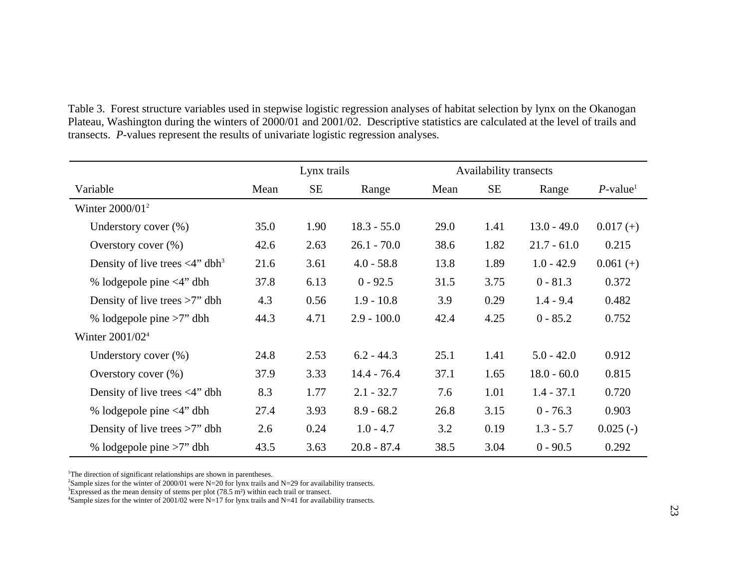| Table 3. Forest structure variables used in stepwise logistic regression analyses of habitat selection by lynx on the Okanogan  |
|---------------------------------------------------------------------------------------------------------------------------------|
| Plateau, Washington during the winters of 2000/01 and 2001/02. Descriptive statistics are calculated at the level of trails and |
| transects. P-values represent the results of univariate logistic regression analyses.                                           |

|                                                     |      | Lynx trails |               |      | <b>Availability transects</b> |               |                         |
|-----------------------------------------------------|------|-------------|---------------|------|-------------------------------|---------------|-------------------------|
| Variable                                            | Mean | <b>SE</b>   | Range         | Mean | <b>SE</b>                     | Range         | $P$ -value <sup>1</sup> |
| Winter $2000/01^2$                                  |      |             |               |      |                               |               |                         |
| Understory cover $(\%)$                             | 35.0 | 1.90        | $18.3 - 55.0$ | 29.0 | 1.41                          | $13.0 - 49.0$ | $0.017 (+)$             |
| Overstory cover (%)                                 | 42.6 | 2.63        | $26.1 - 70.0$ | 38.6 | 1.82                          | $21.7 - 61.0$ | 0.215                   |
| Density of live trees $\langle 4"$ dbh <sup>3</sup> | 21.6 | 3.61        | $4.0 - 58.8$  | 13.8 | 1.89                          | $1.0 - 42.9$  | $0.061 (+)$             |
| % lodgepole pine <4" dbh                            | 37.8 | 6.13        | $0 - 92.5$    | 31.5 | 3.75                          | $0 - 81.3$    | 0.372                   |
| Density of live trees $>7$ " dbh                    | 4.3  | 0.56        | $1.9 - 10.8$  | 3.9  | 0.29                          | $1.4 - 9.4$   | 0.482                   |
| % lodgepole pine $>7$ " dbh                         | 44.3 | 4.71        | $2.9 - 100.0$ | 42.4 | 4.25                          | $0 - 85.2$    | 0.752                   |
| Winter 2001/02 <sup>4</sup>                         |      |             |               |      |                               |               |                         |
| Understory cover $(\%)$                             | 24.8 | 2.53        | $6.2 - 44.3$  | 25.1 | 1.41                          | $5.0 - 42.0$  | 0.912                   |
| Overstory cover $(\%)$                              | 37.9 | 3.33        | $14.4 - 76.4$ | 37.1 | 1.65                          | $18.0 - 60.0$ | 0.815                   |
| Density of live trees $\langle 4"$ dbh              | 8.3  | 1.77        | $2.1 - 32.7$  | 7.6  | 1.01                          | $1.4 - 37.1$  | 0.720                   |
| % lodgepole pine $\langle 4 \rangle$ dbh            | 27.4 | 3.93        | $8.9 - 68.2$  | 26.8 | 3.15                          | $0 - 76.3$    | 0.903                   |
| Density of live trees $>7$ " dbh                    | 2.6  | 0.24        | $1.0 - 4.7$   | 3.2  | 0.19                          | $1.3 - 5.7$   | $0.025(-)$              |
| % lodgepole pine $>7$ " dbh                         | 43.5 | 3.63        | $20.8 - 87.4$ | 38.5 | 3.04                          | $0 - 90.5$    | 0.292                   |

<sup>1</sup>The direction of significant relationships are shown in parentheses.

<sup>2</sup>Sample sizes for the winter of 2000/01 were N=20 for lynx trails and N=29 for availability transects.<br><sup>3</sup>Expressed as the mean density of stems per plot (78.5 m<sup>2</sup>) within each trail or transect.<br><sup>4</sup>Sample sizes for th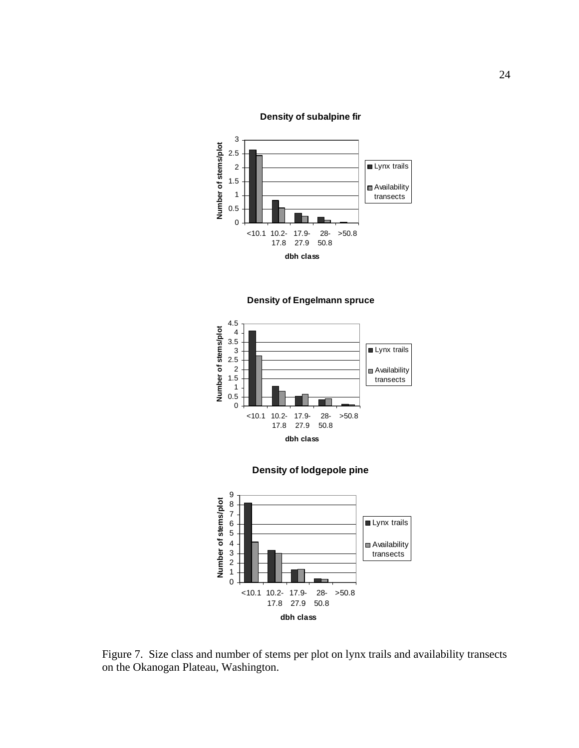**Density of subalpine fir**











Figure 7. Size class and number of stems per plot on lynx trails and availability transects on the Okanogan Plateau, Washington.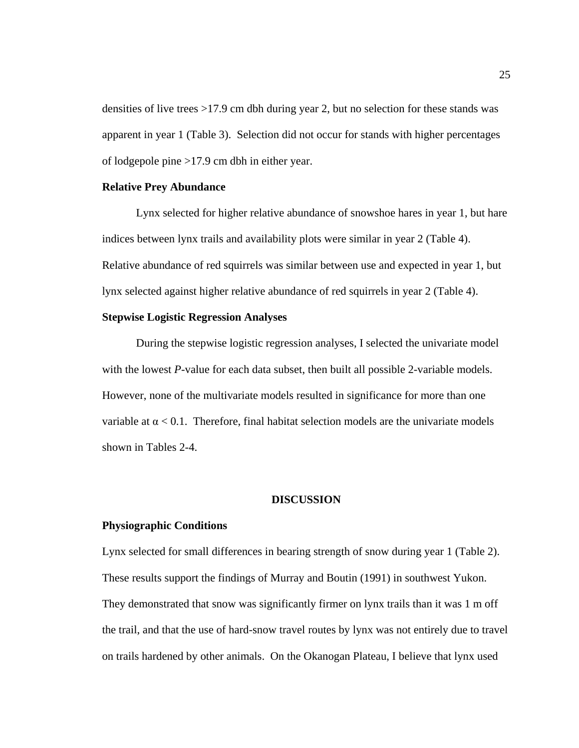densities of live trees >17.9 cm dbh during year 2, but no selection for these stands was apparent in year 1 (Table 3). Selection did not occur for stands with higher percentages of lodgepole pine >17.9 cm dbh in either year.

# **Relative Prey Abundance**

 Lynx selected for higher relative abundance of snowshoe hares in year 1, but hare indices between lynx trails and availability plots were similar in year 2 (Table 4). Relative abundance of red squirrels was similar between use and expected in year 1, but lynx selected against higher relative abundance of red squirrels in year 2 (Table 4).

# **Stepwise Logistic Regression Analyses**

During the stepwise logistic regression analyses, I selected the univariate model with the lowest *P*-value for each data subset, then built all possible 2-variable models. However, none of the multivariate models resulted in significance for more than one variable at  $\alpha$  < 0.1. Therefore, final habitat selection models are the univariate models shown in Tables 2-4.

# **DISCUSSION**

#### **Physiographic Conditions**

Lynx selected for small differences in bearing strength of snow during year 1 (Table 2). These results support the findings of Murray and Boutin (1991) in southwest Yukon. They demonstrated that snow was significantly firmer on lynx trails than it was 1 m off the trail, and that the use of hard-snow travel routes by lynx was not entirely due to travel on trails hardened by other animals. On the Okanogan Plateau, I believe that lynx used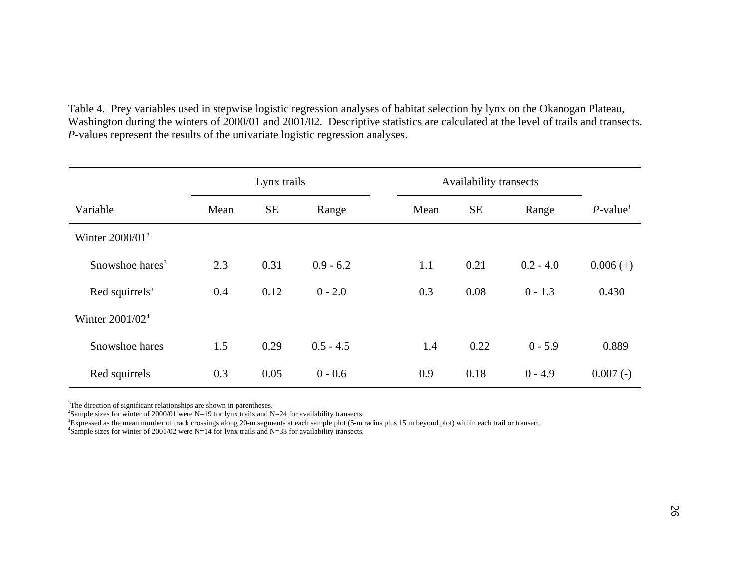Table 4. Prey variables used in stepwise logistic regression analyses of habitat selection by lynx on the Okanogan Plateau, Washington during the winters of 2000/01 and 2001/02. Descriptive statistics are calculated at the level of trails and transects. *P*-values represent the results of the univariate logistic regression analyses.

|                             | Lynx trails |           |             | Availability transects |           |             |                         |
|-----------------------------|-------------|-----------|-------------|------------------------|-----------|-------------|-------------------------|
| Variable                    | Mean        | <b>SE</b> | Range       | Mean                   | <b>SE</b> | Range       | $P$ -value <sup>1</sup> |
| Winter $2000/01^2$          |             |           |             |                        |           |             |                         |
| Snowshoe hares <sup>3</sup> | 2.3         | 0.31      | $0.9 - 6.2$ | 1.1                    | 0.21      | $0.2 - 4.0$ | $0.006 (+)$             |
| Red squirrels $3$           | 0.4         | 0.12      | $0 - 2.0$   | 0.3                    | 0.08      | $0 - 1.3$   | 0.430                   |
| Winter 2001/02 <sup>4</sup> |             |           |             |                        |           |             |                         |
| Snowshoe hares              | 1.5         | 0.29      | $0.5 - 4.5$ | 1.4                    | 0.22      | $0 - 5.9$   | 0.889                   |
| Red squirrels               | 0.3         | 0.05      | $0 - 0.6$   | 0.9                    | 0.18      | $0 - 4.9$   | $0.007(-)$              |

<sup>1</sup>The direction of significant relationships are shown in parentheses.

<sup>2</sup>Sample sizes for winter of 2000/01 were N=19 for lynx trails and N=24 for availability transects.

3Expressed as the mean number of track crossings along 20-m segments at each sample plot (5-m radius plus 15 m beyond plot) within each trail or transect.

4Sample sizes for winter of 2001/02 were N=14 for lynx trails and N=33 for availability transects.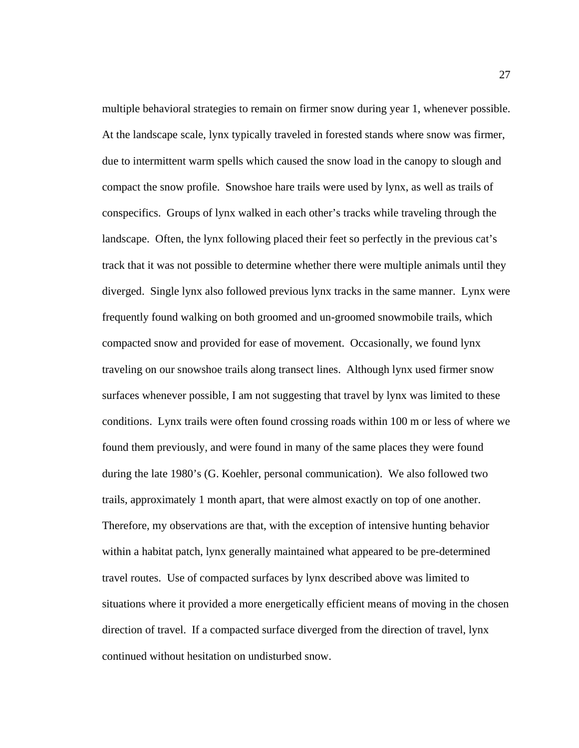multiple behavioral strategies to remain on firmer snow during year 1, whenever possible. At the landscape scale, lynx typically traveled in forested stands where snow was firmer, due to intermittent warm spells which caused the snow load in the canopy to slough and compact the snow profile. Snowshoe hare trails were used by lynx, as well as trails of conspecifics. Groups of lynx walked in each other's tracks while traveling through the landscape. Often, the lynx following placed their feet so perfectly in the previous cat's track that it was not possible to determine whether there were multiple animals until they diverged. Single lynx also followed previous lynx tracks in the same manner. Lynx were frequently found walking on both groomed and un-groomed snowmobile trails, which compacted snow and provided for ease of movement. Occasionally, we found lynx traveling on our snowshoe trails along transect lines. Although lynx used firmer snow surfaces whenever possible, I am not suggesting that travel by lynx was limited to these conditions. Lynx trails were often found crossing roads within 100 m or less of where we found them previously, and were found in many of the same places they were found during the late 1980's (G. Koehler, personal communication). We also followed two trails, approximately 1 month apart, that were almost exactly on top of one another. Therefore, my observations are that, with the exception of intensive hunting behavior within a habitat patch, lynx generally maintained what appeared to be pre-determined travel routes. Use of compacted surfaces by lynx described above was limited to situations where it provided a more energetically efficient means of moving in the chosen direction of travel. If a compacted surface diverged from the direction of travel, lynx continued without hesitation on undisturbed snow.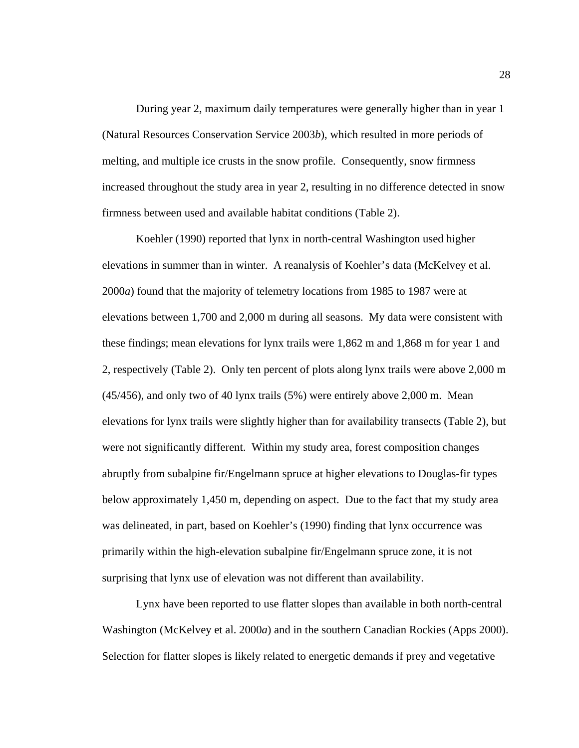During year 2, maximum daily temperatures were generally higher than in year 1 (Natural Resources Conservation Service 2003*b*), which resulted in more periods of melting, and multiple ice crusts in the snow profile. Consequently, snow firmness increased throughout the study area in year 2, resulting in no difference detected in snow firmness between used and available habitat conditions (Table 2).

Koehler (1990) reported that lynx in north-central Washington used higher elevations in summer than in winter. A reanalysis of Koehler's data (McKelvey et al. 2000*a*) found that the majority of telemetry locations from 1985 to 1987 were at elevations between 1,700 and 2,000 m during all seasons. My data were consistent with these findings; mean elevations for lynx trails were 1,862 m and 1,868 m for year 1 and 2, respectively (Table 2). Only ten percent of plots along lynx trails were above 2,000 m (45/456), and only two of 40 lynx trails (5%) were entirely above 2,000 m. Mean elevations for lynx trails were slightly higher than for availability transects (Table 2), but were not significantly different. Within my study area, forest composition changes abruptly from subalpine fir/Engelmann spruce at higher elevations to Douglas-fir types below approximately 1,450 m, depending on aspect. Due to the fact that my study area was delineated, in part, based on Koehler's (1990) finding that lynx occurrence was primarily within the high-elevation subalpine fir/Engelmann spruce zone, it is not surprising that lynx use of elevation was not different than availability.

Lynx have been reported to use flatter slopes than available in both north-central Washington (McKelvey et al. 2000*a*) and in the southern Canadian Rockies (Apps 2000). Selection for flatter slopes is likely related to energetic demands if prey and vegetative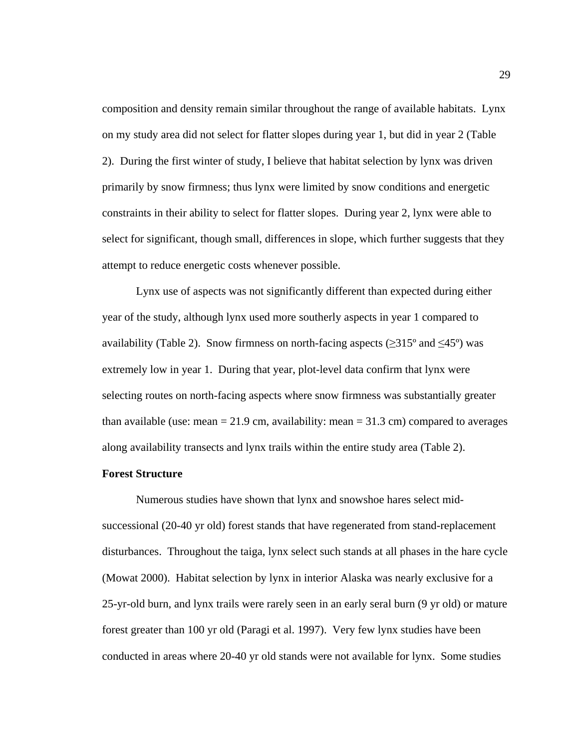composition and density remain similar throughout the range of available habitats. Lynx on my study area did not select for flatter slopes during year 1, but did in year 2 (Table 2). During the first winter of study, I believe that habitat selection by lynx was driven primarily by snow firmness; thus lynx were limited by snow conditions and energetic constraints in their ability to select for flatter slopes. During year 2, lynx were able to select for significant, though small, differences in slope, which further suggests that they attempt to reduce energetic costs whenever possible.

Lynx use of aspects was not significantly different than expected during either year of the study, although lynx used more southerly aspects in year 1 compared to availability (Table 2). Snow firmness on north-facing aspects ( $\geq 315^{\circ}$  and  $\leq 45^{\circ}$ ) was extremely low in year 1. During that year, plot-level data confirm that lynx were selecting routes on north-facing aspects where snow firmness was substantially greater than available (use: mean  $= 21.9$  cm, availability: mean  $= 31.3$  cm) compared to averages along availability transects and lynx trails within the entire study area (Table 2).

#### **Forest Structure**

 Numerous studies have shown that lynx and snowshoe hares select midsuccessional (20-40 yr old) forest stands that have regenerated from stand-replacement disturbances. Throughout the taiga, lynx select such stands at all phases in the hare cycle (Mowat 2000). Habitat selection by lynx in interior Alaska was nearly exclusive for a 25-yr-old burn, and lynx trails were rarely seen in an early seral burn (9 yr old) or mature forest greater than 100 yr old (Paragi et al. 1997). Very few lynx studies have been conducted in areas where 20-40 yr old stands were not available for lynx. Some studies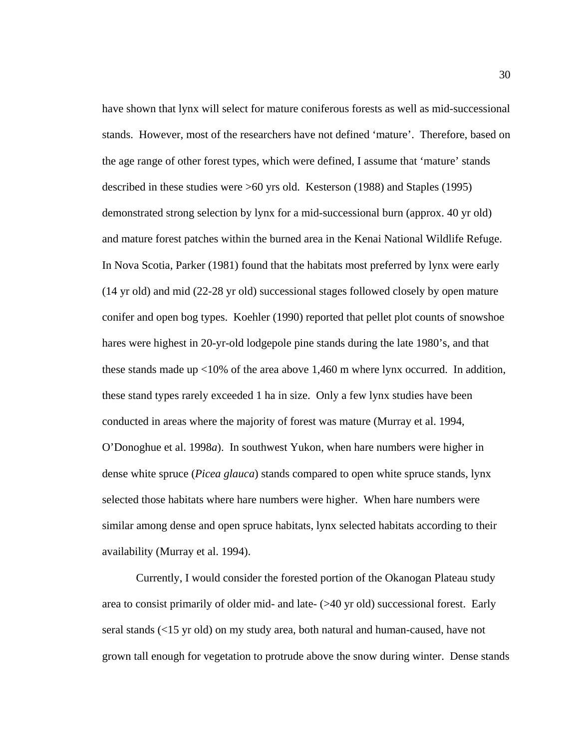have shown that lynx will select for mature coniferous forests as well as mid-successional stands. However, most of the researchers have not defined 'mature'. Therefore, based on the age range of other forest types, which were defined, I assume that 'mature' stands described in these studies were >60 yrs old. Kesterson (1988) and Staples (1995) demonstrated strong selection by lynx for a mid-successional burn (approx. 40 yr old) and mature forest patches within the burned area in the Kenai National Wildlife Refuge. In Nova Scotia, Parker (1981) found that the habitats most preferred by lynx were early (14 yr old) and mid (22-28 yr old) successional stages followed closely by open mature conifer and open bog types. Koehler (1990) reported that pellet plot counts of snowshoe hares were highest in 20-yr-old lodgepole pine stands during the late 1980's, and that these stands made up  $\langle 10\%$  of the area above 1,460 m where lynx occurred. In addition, these stand types rarely exceeded 1 ha in size. Only a few lynx studies have been conducted in areas where the majority of forest was mature (Murray et al. 1994, O'Donoghue et al. 1998*a*). In southwest Yukon, when hare numbers were higher in dense white spruce (*Picea glauca*) stands compared to open white spruce stands, lynx selected those habitats where hare numbers were higher. When hare numbers were similar among dense and open spruce habitats, lynx selected habitats according to their availability (Murray et al. 1994).

 Currently, I would consider the forested portion of the Okanogan Plateau study area to consist primarily of older mid- and late- (>40 yr old) successional forest. Early seral stands (<15 yr old) on my study area, both natural and human-caused, have not grown tall enough for vegetation to protrude above the snow during winter. Dense stands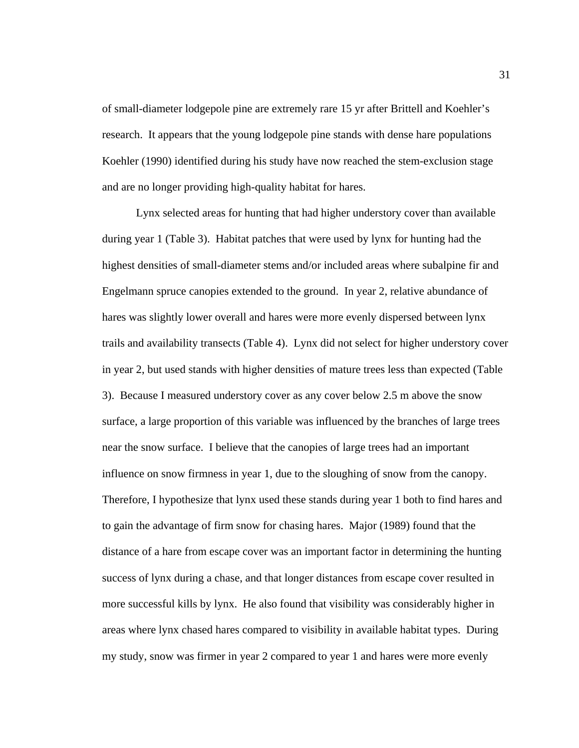of small-diameter lodgepole pine are extremely rare 15 yr after Brittell and Koehler's research. It appears that the young lodgepole pine stands with dense hare populations Koehler (1990) identified during his study have now reached the stem-exclusion stage and are no longer providing high-quality habitat for hares.

Lynx selected areas for hunting that had higher understory cover than available during year 1 (Table 3). Habitat patches that were used by lynx for hunting had the highest densities of small-diameter stems and/or included areas where subalpine fir and Engelmann spruce canopies extended to the ground. In year 2, relative abundance of hares was slightly lower overall and hares were more evenly dispersed between lynx trails and availability transects (Table 4). Lynx did not select for higher understory cover in year 2, but used stands with higher densities of mature trees less than expected (Table 3). Because I measured understory cover as any cover below 2.5 m above the snow surface, a large proportion of this variable was influenced by the branches of large trees near the snow surface. I believe that the canopies of large trees had an important influence on snow firmness in year 1, due to the sloughing of snow from the canopy. Therefore, I hypothesize that lynx used these stands during year 1 both to find hares and to gain the advantage of firm snow for chasing hares. Major (1989) found that the distance of a hare from escape cover was an important factor in determining the hunting success of lynx during a chase, and that longer distances from escape cover resulted in more successful kills by lynx. He also found that visibility was considerably higher in areas where lynx chased hares compared to visibility in available habitat types. During my study, snow was firmer in year 2 compared to year 1 and hares were more evenly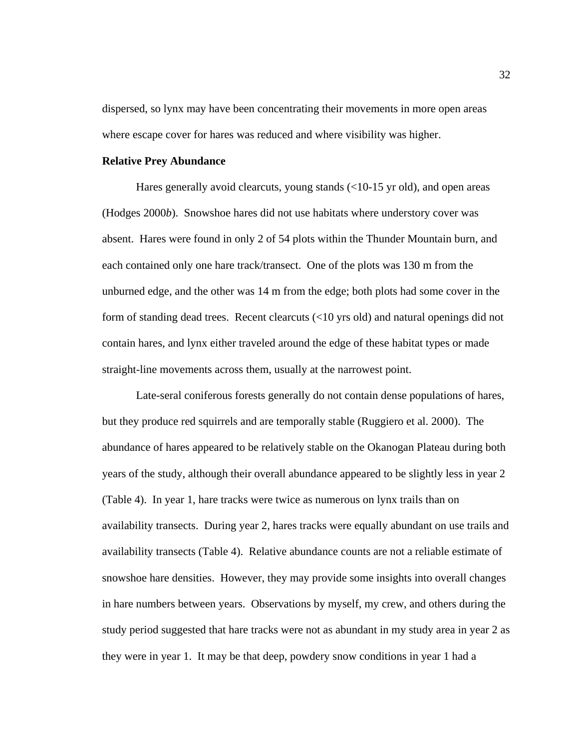dispersed, so lynx may have been concentrating their movements in more open areas where escape cover for hares was reduced and where visibility was higher.

## **Relative Prey Abundance**

 Hares generally avoid clearcuts, young stands (<10-15 yr old), and open areas (Hodges 2000*b*). Snowshoe hares did not use habitats where understory cover was absent. Hares were found in only 2 of 54 plots within the Thunder Mountain burn, and each contained only one hare track/transect. One of the plots was 130 m from the unburned edge, and the other was 14 m from the edge; both plots had some cover in the form of standing dead trees. Recent clearcuts (<10 yrs old) and natural openings did not contain hares, and lynx either traveled around the edge of these habitat types or made straight-line movements across them, usually at the narrowest point.

Late-seral coniferous forests generally do not contain dense populations of hares, but they produce red squirrels and are temporally stable (Ruggiero et al. 2000). The abundance of hares appeared to be relatively stable on the Okanogan Plateau during both years of the study, although their overall abundance appeared to be slightly less in year 2 (Table 4). In year 1, hare tracks were twice as numerous on lynx trails than on availability transects. During year 2, hares tracks were equally abundant on use trails and availability transects (Table 4). Relative abundance counts are not a reliable estimate of snowshoe hare densities. However, they may provide some insights into overall changes in hare numbers between years. Observations by myself, my crew, and others during the study period suggested that hare tracks were not as abundant in my study area in year 2 as they were in year 1. It may be that deep, powdery snow conditions in year 1 had a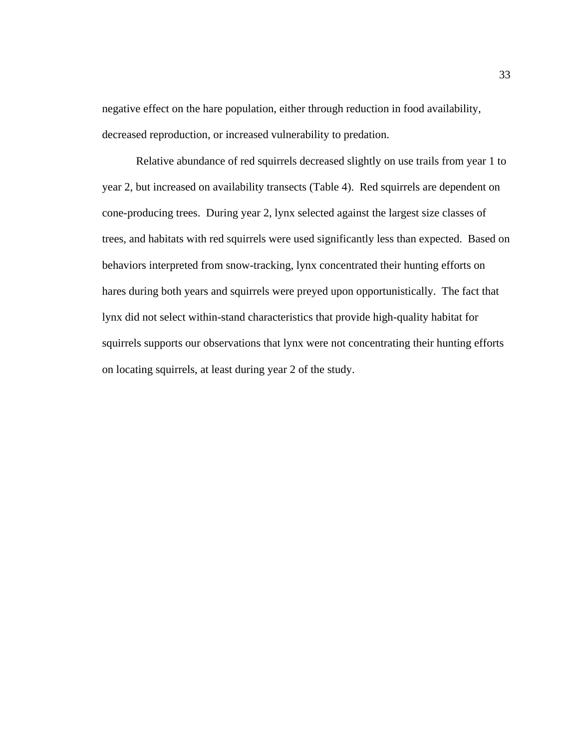negative effect on the hare population, either through reduction in food availability, decreased reproduction, or increased vulnerability to predation.

 Relative abundance of red squirrels decreased slightly on use trails from year 1 to year 2, but increased on availability transects (Table 4). Red squirrels are dependent on cone-producing trees. During year 2, lynx selected against the largest size classes of trees, and habitats with red squirrels were used significantly less than expected. Based on behaviors interpreted from snow-tracking, lynx concentrated their hunting efforts on hares during both years and squirrels were preyed upon opportunistically. The fact that lynx did not select within-stand characteristics that provide high-quality habitat for squirrels supports our observations that lynx were not concentrating their hunting efforts on locating squirrels, at least during year 2 of the study.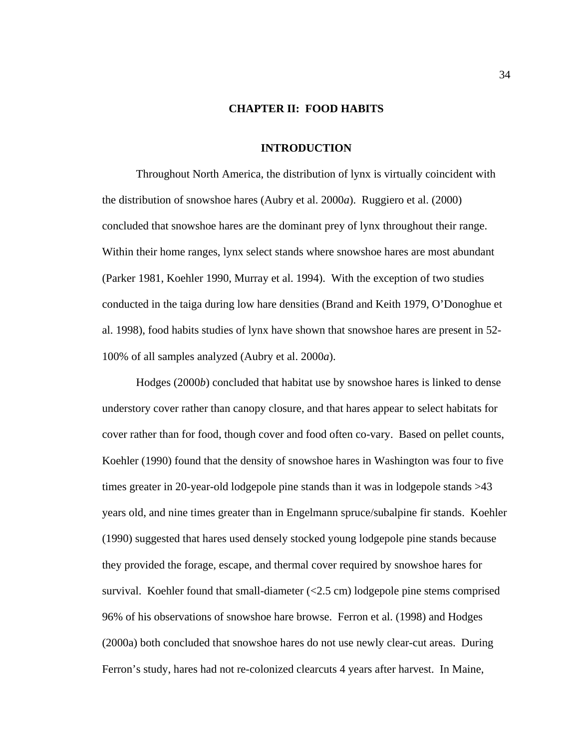# **CHAPTER II: FOOD HABITS**

#### **INTRODUCTION**

 Throughout North America, the distribution of lynx is virtually coincident with the distribution of snowshoe hares (Aubry et al. 2000*a*). Ruggiero et al. (2000) concluded that snowshoe hares are the dominant prey of lynx throughout their range. Within their home ranges, lynx select stands where snowshoe hares are most abundant (Parker 1981, Koehler 1990, Murray et al. 1994). With the exception of two studies conducted in the taiga during low hare densities (Brand and Keith 1979, O'Donoghue et al. 1998), food habits studies of lynx have shown that snowshoe hares are present in 52- 100% of all samples analyzed (Aubry et al. 2000*a*).

 Hodges (2000*b*) concluded that habitat use by snowshoe hares is linked to dense understory cover rather than canopy closure, and that hares appear to select habitats for cover rather than for food, though cover and food often co-vary. Based on pellet counts, Koehler (1990) found that the density of snowshoe hares in Washington was four to five times greater in 20-year-old lodgepole pine stands than it was in lodgepole stands >43 years old, and nine times greater than in Engelmann spruce/subalpine fir stands. Koehler (1990) suggested that hares used densely stocked young lodgepole pine stands because they provided the forage, escape, and thermal cover required by snowshoe hares for survival. Koehler found that small-diameter  $\langle 2.5 \text{ cm} \rangle$  lodgepole pine stems comprised 96% of his observations of snowshoe hare browse. Ferron et al. (1998) and Hodges (2000a) both concluded that snowshoe hares do not use newly clear-cut areas. During Ferron's study, hares had not re-colonized clearcuts 4 years after harvest. In Maine,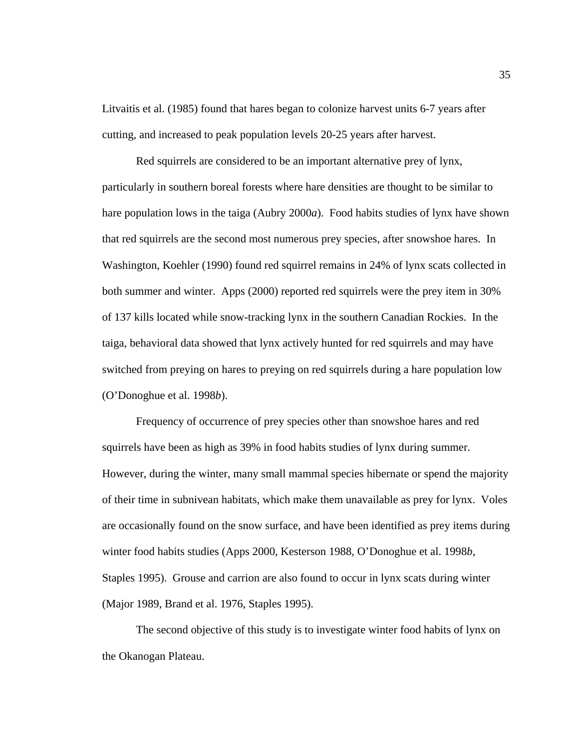Litvaitis et al. (1985) found that hares began to colonize harvest units 6-7 years after cutting, and increased to peak population levels 20-25 years after harvest.

 Red squirrels are considered to be an important alternative prey of lynx, particularly in southern boreal forests where hare densities are thought to be similar to hare population lows in the taiga (Aubry 2000*a*). Food habits studies of lynx have shown that red squirrels are the second most numerous prey species, after snowshoe hares. In Washington, Koehler (1990) found red squirrel remains in 24% of lynx scats collected in both summer and winter. Apps (2000) reported red squirrels were the prey item in 30% of 137 kills located while snow-tracking lynx in the southern Canadian Rockies. In the taiga, behavioral data showed that lynx actively hunted for red squirrels and may have switched from preying on hares to preying on red squirrels during a hare population low (O'Donoghue et al. 1998*b*).

 Frequency of occurrence of prey species other than snowshoe hares and red squirrels have been as high as 39% in food habits studies of lynx during summer. However, during the winter, many small mammal species hibernate or spend the majority of their time in subnivean habitats, which make them unavailable as prey for lynx. Voles are occasionally found on the snow surface, and have been identified as prey items during winter food habits studies (Apps 2000, Kesterson 1988, O'Donoghue et al. 1998*b*, Staples 1995). Grouse and carrion are also found to occur in lynx scats during winter (Major 1989, Brand et al. 1976, Staples 1995).

 The second objective of this study is to investigate winter food habits of lynx on the Okanogan Plateau.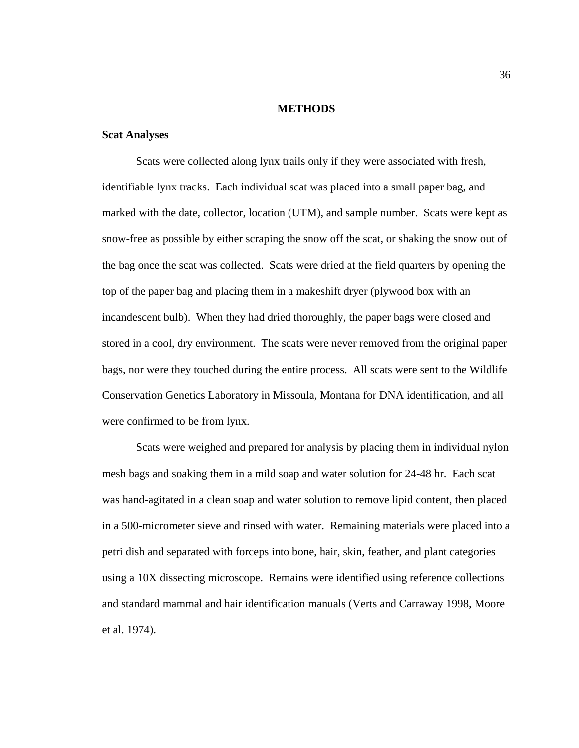# **METHODS**

# **Scat Analyses**

Scats were collected along lynx trails only if they were associated with fresh, identifiable lynx tracks. Each individual scat was placed into a small paper bag, and marked with the date, collector, location (UTM), and sample number. Scats were kept as snow-free as possible by either scraping the snow off the scat, or shaking the snow out of the bag once the scat was collected. Scats were dried at the field quarters by opening the top of the paper bag and placing them in a makeshift dryer (plywood box with an incandescent bulb). When they had dried thoroughly, the paper bags were closed and stored in a cool, dry environment. The scats were never removed from the original paper bags, nor were they touched during the entire process. All scats were sent to the Wildlife Conservation Genetics Laboratory in Missoula, Montana for DNA identification, and all were confirmed to be from lynx.

 Scats were weighed and prepared for analysis by placing them in individual nylon mesh bags and soaking them in a mild soap and water solution for 24-48 hr. Each scat was hand-agitated in a clean soap and water solution to remove lipid content, then placed in a 500-micrometer sieve and rinsed with water. Remaining materials were placed into a petri dish and separated with forceps into bone, hair, skin, feather, and plant categories using a 10X dissecting microscope. Remains were identified using reference collections and standard mammal and hair identification manuals (Verts and Carraway 1998, Moore et al. 1974).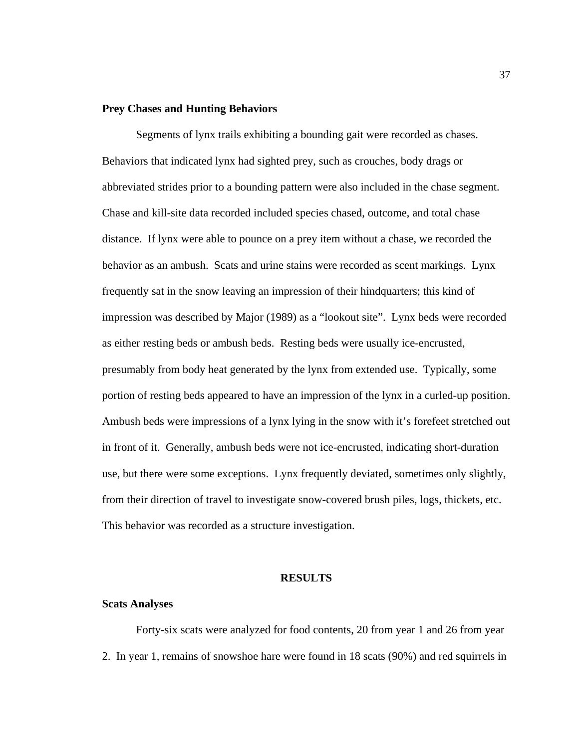### **Prey Chases and Hunting Behaviors**

 Segments of lynx trails exhibiting a bounding gait were recorded as chases. Behaviors that indicated lynx had sighted prey, such as crouches, body drags or abbreviated strides prior to a bounding pattern were also included in the chase segment. Chase and kill-site data recorded included species chased, outcome, and total chase distance. If lynx were able to pounce on a prey item without a chase, we recorded the behavior as an ambush. Scats and urine stains were recorded as scent markings. Lynx frequently sat in the snow leaving an impression of their hindquarters; this kind of impression was described by Major (1989) as a "lookout site". Lynx beds were recorded as either resting beds or ambush beds. Resting beds were usually ice-encrusted, presumably from body heat generated by the lynx from extended use. Typically, some portion of resting beds appeared to have an impression of the lynx in a curled-up position. Ambush beds were impressions of a lynx lying in the snow with it's forefeet stretched out in front of it. Generally, ambush beds were not ice-encrusted, indicating short-duration use, but there were some exceptions. Lynx frequently deviated, sometimes only slightly, from their direction of travel to investigate snow-covered brush piles, logs, thickets, etc. This behavior was recorded as a structure investigation.

#### **RESULTS**

#### **Scats Analyses**

 Forty-six scats were analyzed for food contents, 20 from year 1 and 26 from year 2. In year 1, remains of snowshoe hare were found in 18 scats (90%) and red squirrels in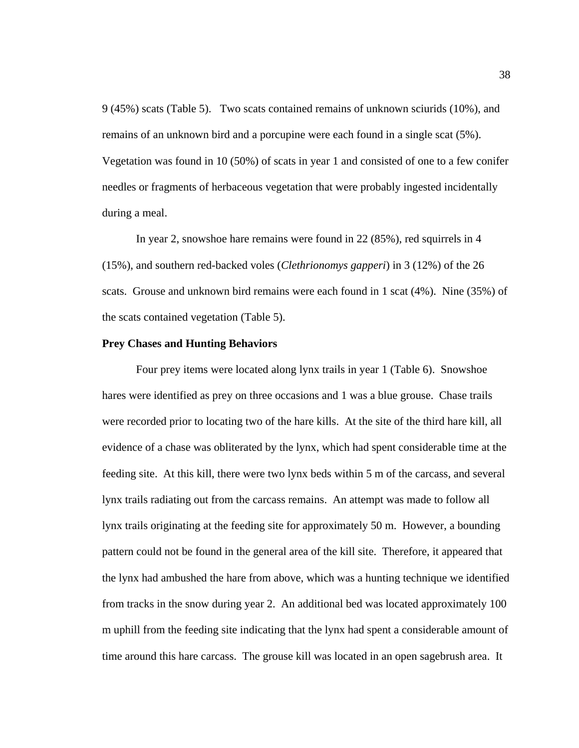9 (45%) scats (Table 5). Two scats contained remains of unknown sciurids (10%), and remains of an unknown bird and a porcupine were each found in a single scat (5%). Vegetation was found in 10 (50%) of scats in year 1 and consisted of one to a few conifer needles or fragments of herbaceous vegetation that were probably ingested incidentally during a meal.

 In year 2, snowshoe hare remains were found in 22 (85%), red squirrels in 4 (15%), and southern red-backed voles (*Clethrionomys gapperi*) in 3 (12%) of the 26 scats. Grouse and unknown bird remains were each found in 1 scat (4%). Nine (35%) of the scats contained vegetation (Table 5).

#### **Prey Chases and Hunting Behaviors**

Four prey items were located along lynx trails in year 1 (Table 6). Snowshoe hares were identified as prey on three occasions and 1 was a blue grouse. Chase trails were recorded prior to locating two of the hare kills. At the site of the third hare kill, all evidence of a chase was obliterated by the lynx, which had spent considerable time at the feeding site. At this kill, there were two lynx beds within 5 m of the carcass, and several lynx trails radiating out from the carcass remains. An attempt was made to follow all lynx trails originating at the feeding site for approximately 50 m. However, a bounding pattern could not be found in the general area of the kill site. Therefore, it appeared that the lynx had ambushed the hare from above, which was a hunting technique we identified from tracks in the snow during year 2. An additional bed was located approximately 100 m uphill from the feeding site indicating that the lynx had spent a considerable amount of time around this hare carcass. The grouse kill was located in an open sagebrush area. It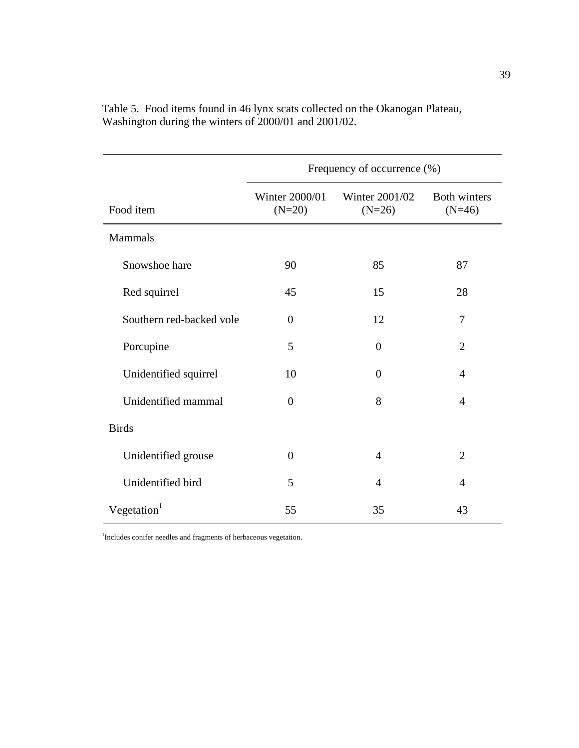|                          | Frequency of occurrence (%) |                            |                                 |  |  |  |
|--------------------------|-----------------------------|----------------------------|---------------------------------|--|--|--|
| Food item                | Winter 2000/01<br>$(N=20)$  | Winter 2001/02<br>$(N=26)$ | <b>Both winters</b><br>$(N=46)$ |  |  |  |
| Mammals                  |                             |                            |                                 |  |  |  |
| Snowshoe hare            | 90                          | 85                         | 87                              |  |  |  |
| Red squirrel             | 45                          | 15                         | 28                              |  |  |  |
| Southern red-backed vole | $\overline{0}$              | 12                         | 7                               |  |  |  |
| Porcupine                | 5                           | $\theta$                   | $\overline{2}$                  |  |  |  |
| Unidentified squirrel    | 10                          | $\theta$                   | $\overline{4}$                  |  |  |  |
| Unidentified mammal      | $\overline{0}$              | 8                          | $\overline{4}$                  |  |  |  |
| <b>Birds</b>             |                             |                            |                                 |  |  |  |
| Unidentified grouse      | $\overline{0}$              | $\overline{4}$             | $\overline{2}$                  |  |  |  |
| Unidentified bird        | 5                           | $\overline{A}$             | $\overline{4}$                  |  |  |  |
| Vegetation $1$           | 55                          | 35                         | 43                              |  |  |  |

Table 5. Food items found in 46 lynx scats collected on the Okanogan Plateau, Washington during the winters of 2000/01 and 2001/02.

<sup>1</sup>Includes conifer needles and fragments of herbaceous vegetation.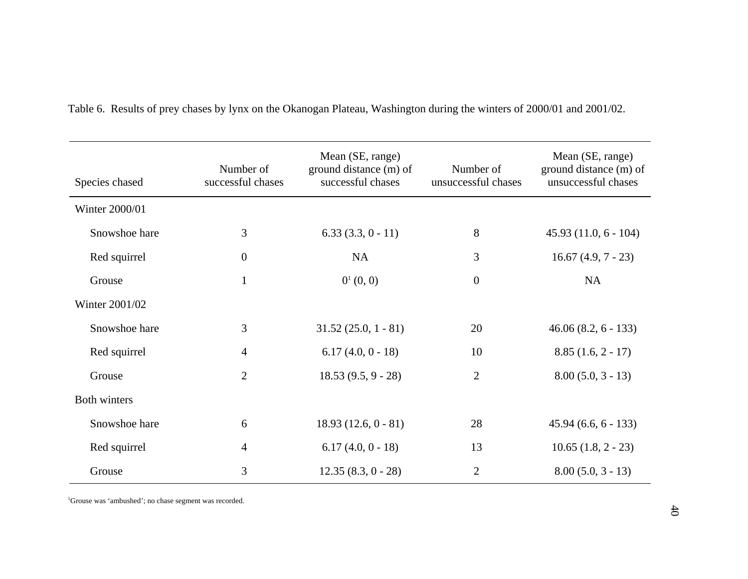| Species chased | Number of<br>successful chases | Mean (SE, range)<br>ground distance (m) of<br>successful chases | Number of<br>unsuccessful chases | Mean (SE, range)<br>ground distance (m) of<br>unsuccessful chases |
|----------------|--------------------------------|-----------------------------------------------------------------|----------------------------------|-------------------------------------------------------------------|
| Winter 2000/01 |                                |                                                                 |                                  |                                                                   |
| Snowshoe hare  | 3                              | $6.33(3.3, 0 - 11)$                                             | 8                                | $45.93(11.0, 6 - 104)$                                            |
| Red squirrel   | $\boldsymbol{0}$               | <b>NA</b>                                                       | 3                                | $16.67(4.9, 7 - 23)$                                              |
| Grouse         | $\mathbf{1}$                   | $0^1(0, 0)$                                                     | $\boldsymbol{0}$                 | <b>NA</b>                                                         |
| Winter 2001/02 |                                |                                                                 |                                  |                                                                   |
| Snowshoe hare  | 3                              | $31.52(25.0, 1 - 81)$                                           | 20                               | $46.06(8.2, 6 - 133)$                                             |
| Red squirrel   | $\overline{4}$                 | $6.17(4.0, 0 - 18)$                                             | 10                               | $8.85(1.6, 2 - 17)$                                               |
| Grouse         | $\mathbf{2}$                   | $18.53(9.5, 9 - 28)$                                            | $\mathbf{2}$                     | $8.00(5.0, 3 - 13)$                                               |
| Both winters   |                                |                                                                 |                                  |                                                                   |
| Snowshoe hare  | 6                              | $18.93(12.6, 0 - 81)$                                           | 28                               | $45.94(6.6, 6 - 133)$                                             |
| Red squirrel   | $\overline{4}$                 | $6.17(4.0, 0 - 18)$                                             | 13                               | $10.65(1.8, 2 - 23)$                                              |
| Grouse         | 3                              | $12.35(8.3, 0 - 28)$                                            | $\overline{2}$                   | $8.00(5.0, 3 - 13)$                                               |

Table 6. Results of prey chases by lynx on the Okanogan Plateau, Washington during the winters of 2000/01 and 2001/02.

<sup>1</sup>Grouse was 'ambushed'; no chase segment was recorded.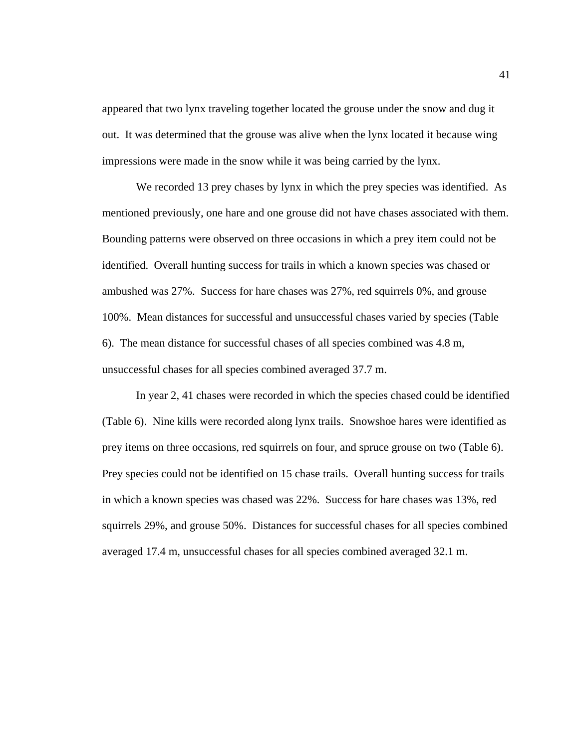appeared that two lynx traveling together located the grouse under the snow and dug it out. It was determined that the grouse was alive when the lynx located it because wing impressions were made in the snow while it was being carried by the lynx.

We recorded 13 prey chases by lynx in which the prey species was identified. As mentioned previously, one hare and one grouse did not have chases associated with them. Bounding patterns were observed on three occasions in which a prey item could not be identified. Overall hunting success for trails in which a known species was chased or ambushed was 27%. Success for hare chases was 27%, red squirrels 0%, and grouse 100%. Mean distances for successful and unsuccessful chases varied by species (Table 6). The mean distance for successful chases of all species combined was 4.8 m, unsuccessful chases for all species combined averaged 37.7 m.

In year 2, 41 chases were recorded in which the species chased could be identified (Table 6). Nine kills were recorded along lynx trails. Snowshoe hares were identified as prey items on three occasions, red squirrels on four, and spruce grouse on two (Table 6). Prey species could not be identified on 15 chase trails. Overall hunting success for trails in which a known species was chased was 22%. Success for hare chases was 13%, red squirrels 29%, and grouse 50%. Distances for successful chases for all species combined averaged 17.4 m, unsuccessful chases for all species combined averaged 32.1 m.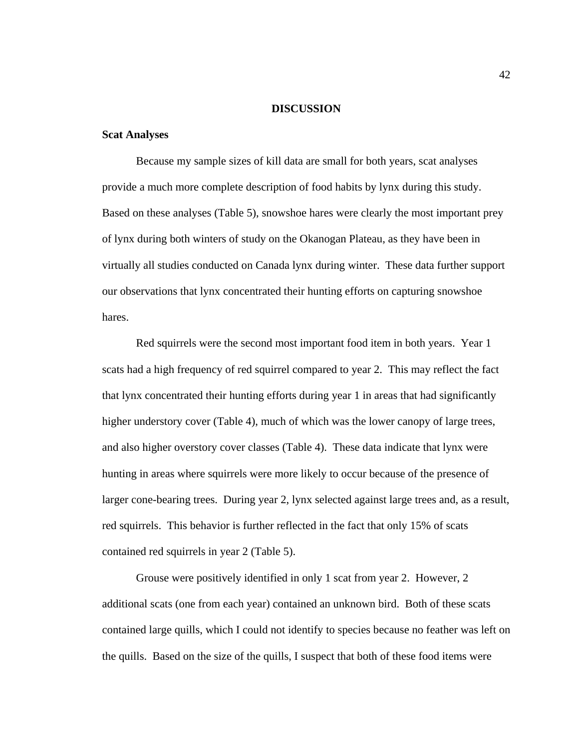#### **DISCUSSION**

# **Scat Analyses**

 Because my sample sizes of kill data are small for both years, scat analyses provide a much more complete description of food habits by lynx during this study. Based on these analyses (Table 5), snowshoe hares were clearly the most important prey of lynx during both winters of study on the Okanogan Plateau, as they have been in virtually all studies conducted on Canada lynx during winter. These data further support our observations that lynx concentrated their hunting efforts on capturing snowshoe hares.

Red squirrels were the second most important food item in both years. Year 1 scats had a high frequency of red squirrel compared to year 2. This may reflect the fact that lynx concentrated their hunting efforts during year 1 in areas that had significantly higher understory cover (Table 4), much of which was the lower canopy of large trees, and also higher overstory cover classes (Table 4). These data indicate that lynx were hunting in areas where squirrels were more likely to occur because of the presence of larger cone-bearing trees. During year 2, lynx selected against large trees and, as a result, red squirrels. This behavior is further reflected in the fact that only 15% of scats contained red squirrels in year 2 (Table 5).

Grouse were positively identified in only 1 scat from year 2. However, 2 additional scats (one from each year) contained an unknown bird. Both of these scats contained large quills, which I could not identify to species because no feather was left on the quills. Based on the size of the quills, I suspect that both of these food items were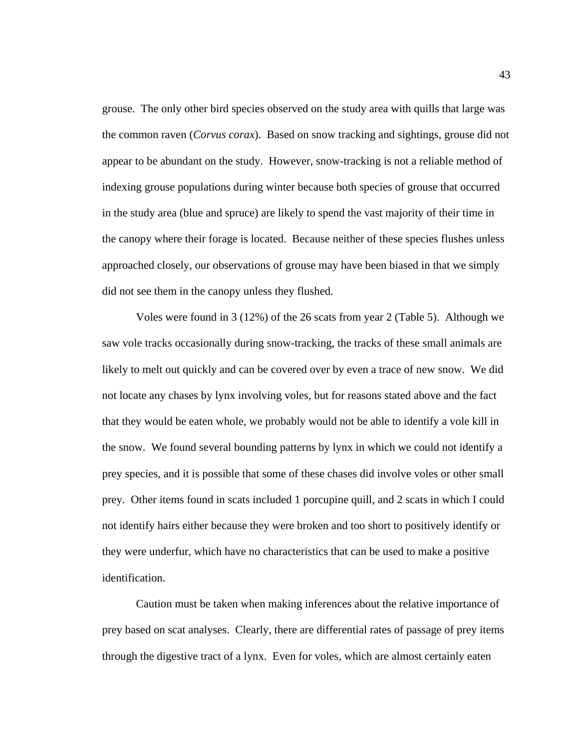grouse. The only other bird species observed on the study area with quills that large was the common raven (*Corvus corax*). Based on snow tracking and sightings, grouse did not appear to be abundant on the study. However, snow-tracking is not a reliable method of indexing grouse populations during winter because both species of grouse that occurred in the study area (blue and spruce) are likely to spend the vast majority of their time in the canopy where their forage is located. Because neither of these species flushes unless approached closely, our observations of grouse may have been biased in that we simply did not see them in the canopy unless they flushed.

Voles were found in 3 (12%) of the 26 scats from year 2 (Table 5). Although we saw vole tracks occasionally during snow-tracking, the tracks of these small animals are likely to melt out quickly and can be covered over by even a trace of new snow. We did not locate any chases by lynx involving voles, but for reasons stated above and the fact that they would be eaten whole, we probably would not be able to identify a vole kill in the snow. We found several bounding patterns by lynx in which we could not identify a prey species, and it is possible that some of these chases did involve voles or other small prey. Other items found in scats included 1 porcupine quill, and 2 scats in which I could not identify hairs either because they were broken and too short to positively identify or they were underfur, which have no characteristics that can be used to make a positive identification.

Caution must be taken when making inferences about the relative importance of prey based on scat analyses. Clearly, there are differential rates of passage of prey items through the digestive tract of a lynx. Even for voles, which are almost certainly eaten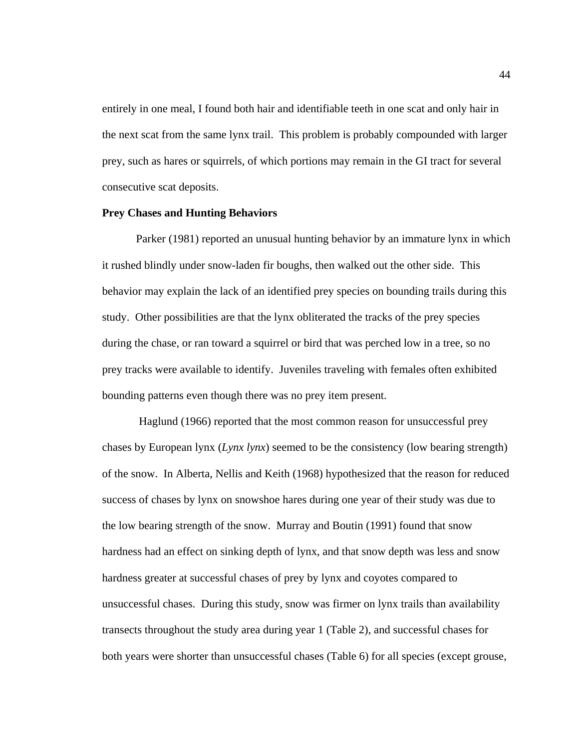entirely in one meal, I found both hair and identifiable teeth in one scat and only hair in the next scat from the same lynx trail. This problem is probably compounded with larger prey, such as hares or squirrels, of which portions may remain in the GI tract for several consecutive scat deposits.

#### **Prey Chases and Hunting Behaviors**

Parker (1981) reported an unusual hunting behavior by an immature lynx in which it rushed blindly under snow-laden fir boughs, then walked out the other side. This behavior may explain the lack of an identified prey species on bounding trails during this study. Other possibilities are that the lynx obliterated the tracks of the prey species during the chase, or ran toward a squirrel or bird that was perched low in a tree, so no prey tracks were available to identify. Juveniles traveling with females often exhibited bounding patterns even though there was no prey item present.

 Haglund (1966) reported that the most common reason for unsuccessful prey chases by European lynx (*Lynx lynx*) seemed to be the consistency (low bearing strength) of the snow. In Alberta, Nellis and Keith (1968) hypothesized that the reason for reduced success of chases by lynx on snowshoe hares during one year of their study was due to the low bearing strength of the snow. Murray and Boutin (1991) found that snow hardness had an effect on sinking depth of lynx, and that snow depth was less and snow hardness greater at successful chases of prey by lynx and coyotes compared to unsuccessful chases. During this study, snow was firmer on lynx trails than availability transects throughout the study area during year 1 (Table 2), and successful chases for both years were shorter than unsuccessful chases (Table 6) for all species (except grouse,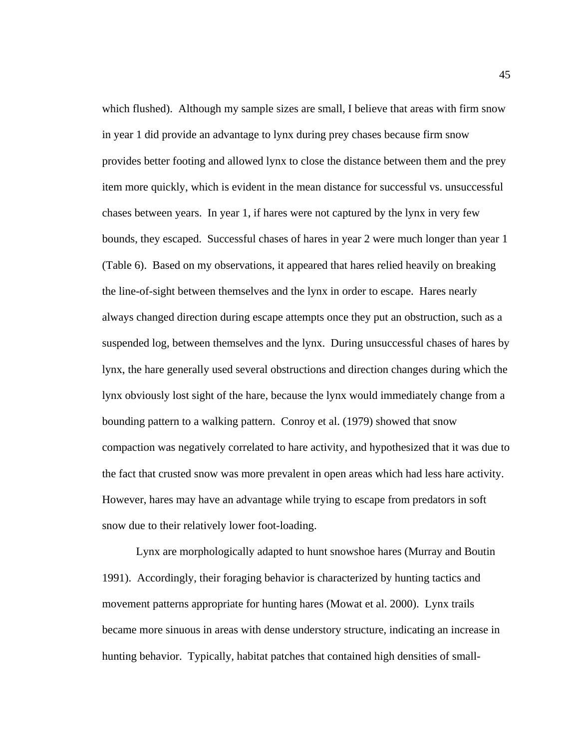which flushed). Although my sample sizes are small, I believe that areas with firm snow in year 1 did provide an advantage to lynx during prey chases because firm snow provides better footing and allowed lynx to close the distance between them and the prey item more quickly, which is evident in the mean distance for successful vs. unsuccessful chases between years. In year 1, if hares were not captured by the lynx in very few bounds, they escaped. Successful chases of hares in year 2 were much longer than year 1 (Table 6). Based on my observations, it appeared that hares relied heavily on breaking the line-of-sight between themselves and the lynx in order to escape. Hares nearly always changed direction during escape attempts once they put an obstruction, such as a suspended log, between themselves and the lynx. During unsuccessful chases of hares by lynx, the hare generally used several obstructions and direction changes during which the lynx obviously lost sight of the hare, because the lynx would immediately change from a bounding pattern to a walking pattern. Conroy et al. (1979) showed that snow compaction was negatively correlated to hare activity, and hypothesized that it was due to the fact that crusted snow was more prevalent in open areas which had less hare activity. However, hares may have an advantage while trying to escape from predators in soft snow due to their relatively lower foot-loading.

Lynx are morphologically adapted to hunt snowshoe hares (Murray and Boutin 1991). Accordingly, their foraging behavior is characterized by hunting tactics and movement patterns appropriate for hunting hares (Mowat et al. 2000). Lynx trails became more sinuous in areas with dense understory structure, indicating an increase in hunting behavior. Typically, habitat patches that contained high densities of small-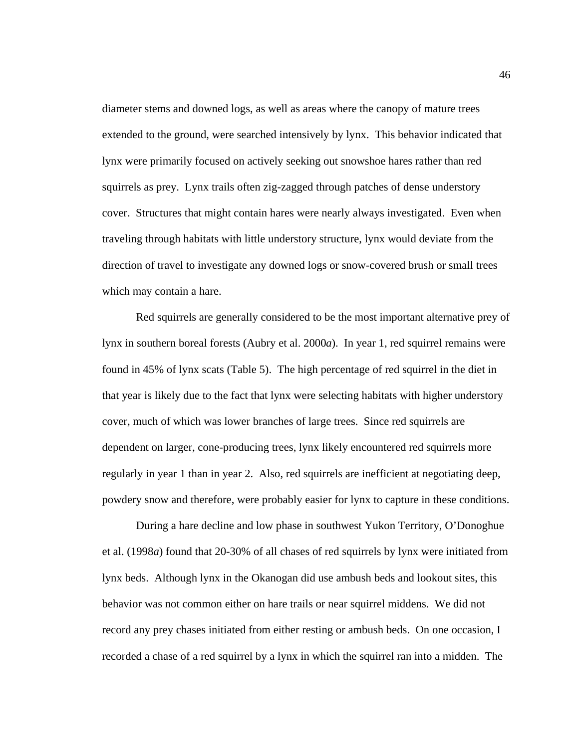diameter stems and downed logs, as well as areas where the canopy of mature trees extended to the ground, were searched intensively by lynx. This behavior indicated that lynx were primarily focused on actively seeking out snowshoe hares rather than red squirrels as prey. Lynx trails often zig-zagged through patches of dense understory cover. Structures that might contain hares were nearly always investigated. Even when traveling through habitats with little understory structure, lynx would deviate from the direction of travel to investigate any downed logs or snow-covered brush or small trees which may contain a hare.

Red squirrels are generally considered to be the most important alternative prey of lynx in southern boreal forests (Aubry et al. 2000*a*). In year 1, red squirrel remains were found in 45% of lynx scats (Table 5). The high percentage of red squirrel in the diet in that year is likely due to the fact that lynx were selecting habitats with higher understory cover, much of which was lower branches of large trees. Since red squirrels are dependent on larger, cone-producing trees, lynx likely encountered red squirrels more regularly in year 1 than in year 2. Also, red squirrels are inefficient at negotiating deep, powdery snow and therefore, were probably easier for lynx to capture in these conditions.

 During a hare decline and low phase in southwest Yukon Territory, O'Donoghue et al. (1998*a*) found that 20-30% of all chases of red squirrels by lynx were initiated from lynx beds. Although lynx in the Okanogan did use ambush beds and lookout sites, this behavior was not common either on hare trails or near squirrel middens. We did not record any prey chases initiated from either resting or ambush beds. On one occasion, I recorded a chase of a red squirrel by a lynx in which the squirrel ran into a midden. The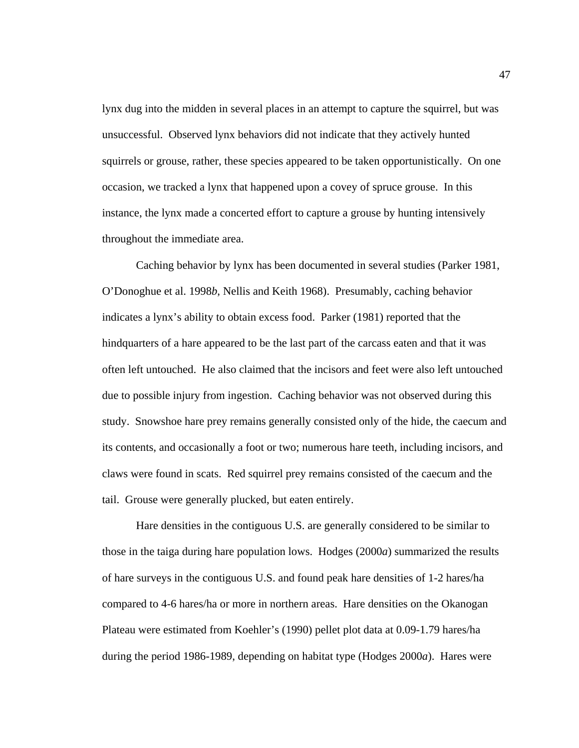lynx dug into the midden in several places in an attempt to capture the squirrel, but was unsuccessful. Observed lynx behaviors did not indicate that they actively hunted squirrels or grouse, rather, these species appeared to be taken opportunistically. On one occasion, we tracked a lynx that happened upon a covey of spruce grouse. In this instance, the lynx made a concerted effort to capture a grouse by hunting intensively throughout the immediate area.

Caching behavior by lynx has been documented in several studies (Parker 1981, O'Donoghue et al. 1998*b*, Nellis and Keith 1968). Presumably, caching behavior indicates a lynx's ability to obtain excess food. Parker (1981) reported that the hindquarters of a hare appeared to be the last part of the carcass eaten and that it was often left untouched. He also claimed that the incisors and feet were also left untouched due to possible injury from ingestion. Caching behavior was not observed during this study. Snowshoe hare prey remains generally consisted only of the hide, the caecum and its contents, and occasionally a foot or two; numerous hare teeth, including incisors, and claws were found in scats. Red squirrel prey remains consisted of the caecum and the tail. Grouse were generally plucked, but eaten entirely.

Hare densities in the contiguous U.S. are generally considered to be similar to those in the taiga during hare population lows. Hodges (2000*a*) summarized the results of hare surveys in the contiguous U.S. and found peak hare densities of 1-2 hares/ha compared to 4-6 hares/ha or more in northern areas. Hare densities on the Okanogan Plateau were estimated from Koehler's (1990) pellet plot data at 0.09-1.79 hares/ha during the period 1986-1989, depending on habitat type (Hodges 2000*a*). Hares were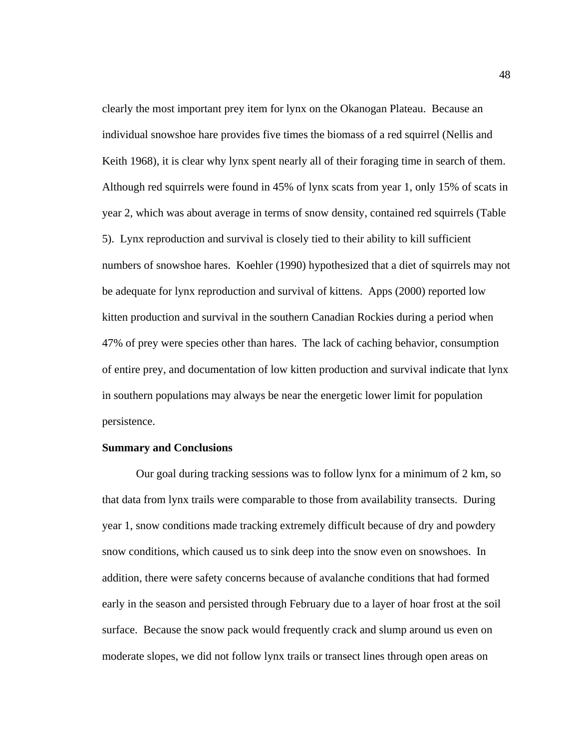clearly the most important prey item for lynx on the Okanogan Plateau. Because an individual snowshoe hare provides five times the biomass of a red squirrel (Nellis and Keith 1968), it is clear why lynx spent nearly all of their foraging time in search of them. Although red squirrels were found in 45% of lynx scats from year 1, only 15% of scats in year 2, which was about average in terms of snow density, contained red squirrels (Table 5). Lynx reproduction and survival is closely tied to their ability to kill sufficient numbers of snowshoe hares. Koehler (1990) hypothesized that a diet of squirrels may not be adequate for lynx reproduction and survival of kittens. Apps (2000) reported low kitten production and survival in the southern Canadian Rockies during a period when 47% of prey were species other than hares. The lack of caching behavior, consumption of entire prey, and documentation of low kitten production and survival indicate that lynx in southern populations may always be near the energetic lower limit for population persistence.

### **Summary and Conclusions**

Our goal during tracking sessions was to follow lynx for a minimum of 2 km, so that data from lynx trails were comparable to those from availability transects. During year 1, snow conditions made tracking extremely difficult because of dry and powdery snow conditions, which caused us to sink deep into the snow even on snowshoes. In addition, there were safety concerns because of avalanche conditions that had formed early in the season and persisted through February due to a layer of hoar frost at the soil surface. Because the snow pack would frequently crack and slump around us even on moderate slopes, we did not follow lynx trails or transect lines through open areas on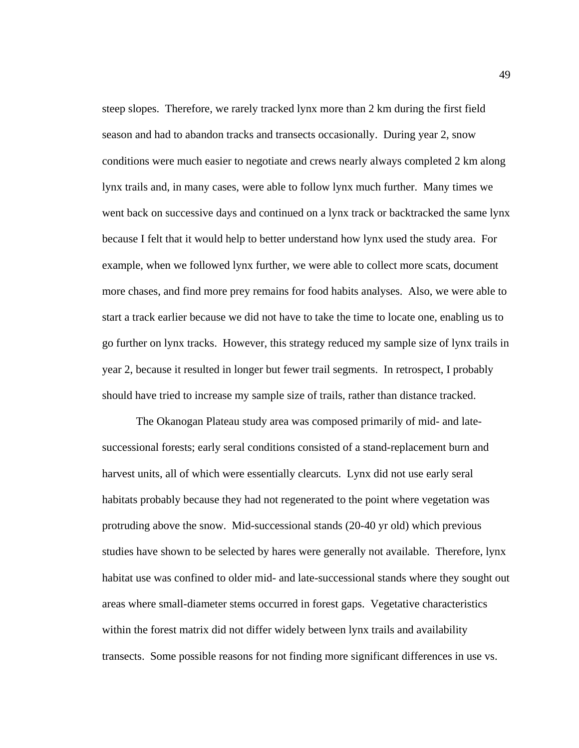steep slopes. Therefore, we rarely tracked lynx more than 2 km during the first field season and had to abandon tracks and transects occasionally. During year 2, snow conditions were much easier to negotiate and crews nearly always completed 2 km along lynx trails and, in many cases, were able to follow lynx much further. Many times we went back on successive days and continued on a lynx track or backtracked the same lynx because I felt that it would help to better understand how lynx used the study area. For example, when we followed lynx further, we were able to collect more scats, document more chases, and find more prey remains for food habits analyses. Also, we were able to start a track earlier because we did not have to take the time to locate one, enabling us to go further on lynx tracks. However, this strategy reduced my sample size of lynx trails in year 2, because it resulted in longer but fewer trail segments. In retrospect, I probably should have tried to increase my sample size of trails, rather than distance tracked.

The Okanogan Plateau study area was composed primarily of mid- and latesuccessional forests; early seral conditions consisted of a stand-replacement burn and harvest units, all of which were essentially clearcuts. Lynx did not use early seral habitats probably because they had not regenerated to the point where vegetation was protruding above the snow. Mid-successional stands (20-40 yr old) which previous studies have shown to be selected by hares were generally not available. Therefore, lynx habitat use was confined to older mid- and late-successional stands where they sought out areas where small-diameter stems occurred in forest gaps. Vegetative characteristics within the forest matrix did not differ widely between lynx trails and availability transects. Some possible reasons for not finding more significant differences in use vs.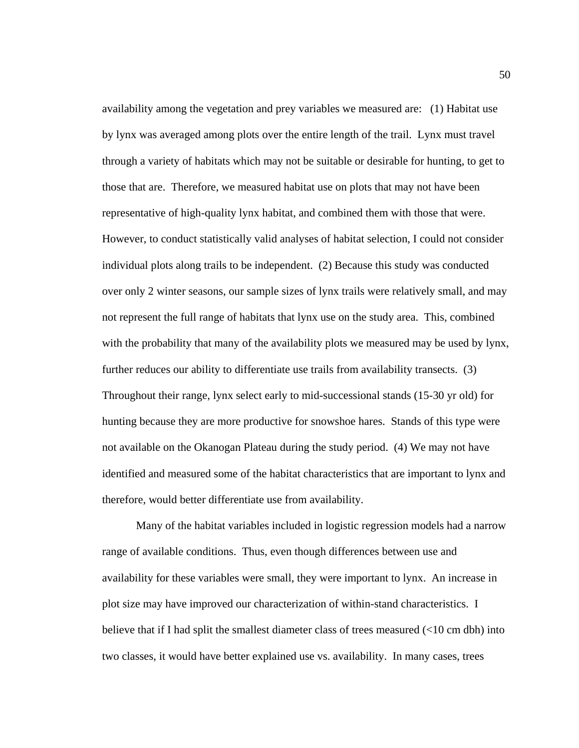availability among the vegetation and prey variables we measured are: (1) Habitat use by lynx was averaged among plots over the entire length of the trail. Lynx must travel through a variety of habitats which may not be suitable or desirable for hunting, to get to those that are. Therefore, we measured habitat use on plots that may not have been representative of high-quality lynx habitat, and combined them with those that were. However, to conduct statistically valid analyses of habitat selection, I could not consider individual plots along trails to be independent. (2) Because this study was conducted over only 2 winter seasons, our sample sizes of lynx trails were relatively small, and may not represent the full range of habitats that lynx use on the study area. This, combined with the probability that many of the availability plots we measured may be used by lynx, further reduces our ability to differentiate use trails from availability transects. (3) Throughout their range, lynx select early to mid-successional stands (15-30 yr old) for hunting because they are more productive for snowshoe hares. Stands of this type were not available on the Okanogan Plateau during the study period. (4) We may not have identified and measured some of the habitat characteristics that are important to lynx and therefore, would better differentiate use from availability.

Many of the habitat variables included in logistic regression models had a narrow range of available conditions. Thus, even though differences between use and availability for these variables were small, they were important to lynx.An increase in plot size may have improved our characterization of within-stand characteristics. I believe that if I had split the smallest diameter class of trees measured  $(<10 \text{ cm dbh})$  into two classes, it would have better explained use vs. availability. In many cases, trees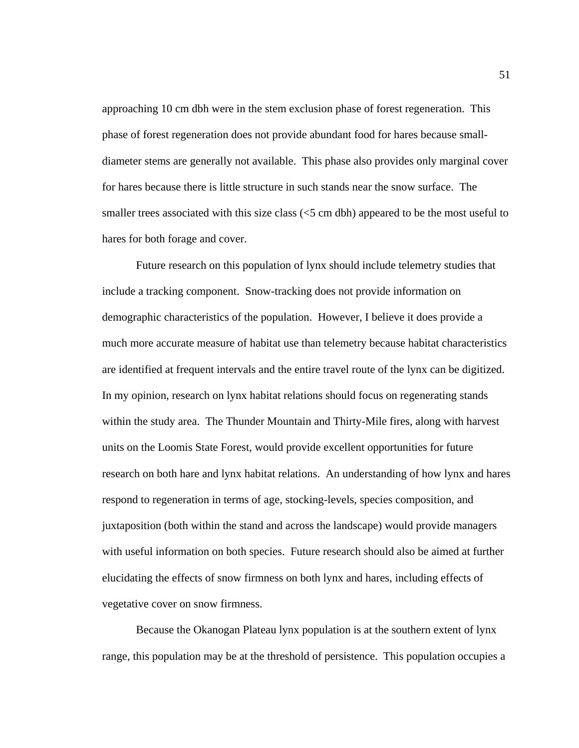approaching 10 cm dbh were in the stem exclusion phase of forest regeneration. This phase of forest regeneration does not provide abundant food for hares because smalldiameter stems are generally not available. This phase also provides only marginal cover for hares because there is little structure in such stands near the snow surface. The smaller trees associated with this size class  $(<5$  cm dbh) appeared to be the most useful to hares for both forage and cover.

Future research on this population of lynx should include telemetry studies that include a tracking component. Snow-tracking does not provide information on demographic characteristics of the population. However, I believe it does provide a much more accurate measure of habitat use than telemetry because habitat characteristics are identified at frequent intervals and the entire travel route of the lynx can be digitized. In my opinion, research on lynx habitat relations should focus on regenerating stands within the study area. The Thunder Mountain and Thirty-Mile fires, along with harvest units on the Loomis State Forest, would provide excellent opportunities for future research on both hare and lynx habitat relations. An understanding of how lynx and hares respond to regeneration in terms of age, stocking-levels, species composition, and juxtaposition (both within the stand and across the landscape) would provide managers with useful information on both species. Future research should also be aimed at further elucidating the effects of snow firmness on both lynx and hares, including effects of vegetative cover on snow firmness.

Because the Okanogan Plateau lynx population is at the southern extent of lynx range, this population may be at the threshold of persistence. This population occupies a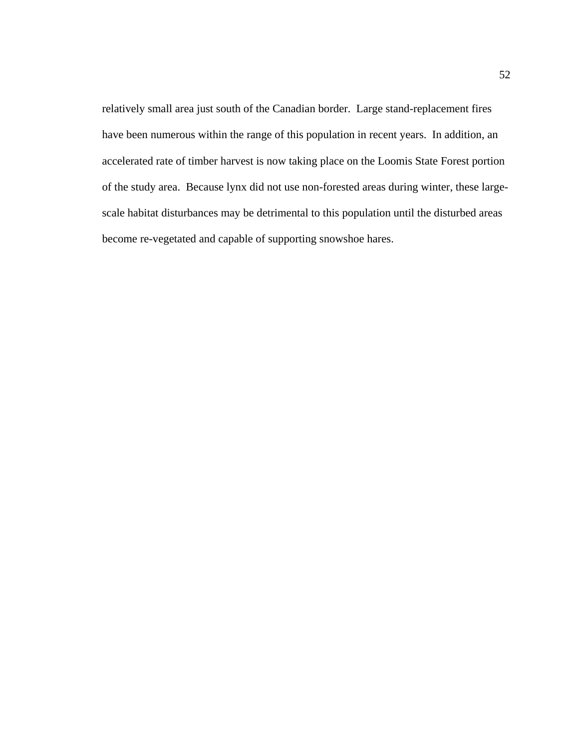relatively small area just south of the Canadian border. Large stand-replacement fires have been numerous within the range of this population in recent years. In addition, an accelerated rate of timber harvest is now taking place on the Loomis State Forest portion of the study area. Because lynx did not use non-forested areas during winter, these largescale habitat disturbances may be detrimental to this population until the disturbed areas become re-vegetated and capable of supporting snowshoe hares.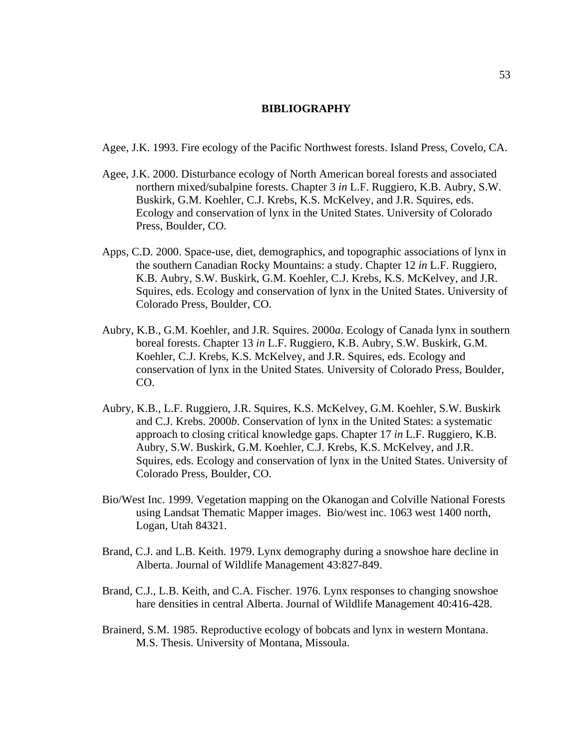# **BIBLIOGRAPHY**

Agee, J.K. 1993. Fire ecology of the Pacific Northwest forests. Island Press, Covelo, CA.

- Agee, J.K. 2000. Disturbance ecology of North American boreal forests and associated northern mixed/subalpine forests. Chapter 3 *in* L.F. Ruggiero, K.B. Aubry, S.W. Buskirk, G.M. Koehler, C.J. Krebs, K.S. McKelvey, and J.R. Squires, eds. Ecology and conservation of lynx in the United States. University of Colorado Press, Boulder, CO.
- Apps, C.D. 2000. Space-use, diet, demographics, and topographic associations of lynx in the southern Canadian Rocky Mountains: a study. Chapter 12 *in* L.F. Ruggiero, K.B. Aubry, S.W. Buskirk, G.M. Koehler, C.J. Krebs, K.S. McKelvey, and J.R. Squires, eds. Ecology and conservation of lynx in the United States. University of Colorado Press, Boulder, CO.
- Aubry, K.B., G.M. Koehler, and J.R. Squires. 2000*a*. Ecology of Canada lynx in southern boreal forests. Chapter 13 *in* L.F. Ruggiero, K.B. Aubry, S.W. Buskirk, G.M. Koehler, C.J. Krebs, K.S. McKelvey, and J.R. Squires, eds. Ecology and conservation of lynx in the United States. University of Colorado Press, Boulder, CO.
- Aubry, K.B., L.F. Ruggiero, J.R. Squires, K.S. McKelvey, G.M. Koehler, S.W. Buskirk and C.J. Krebs. 2000*b*. Conservation of lynx in the United States: a systematic approach to closing critical knowledge gaps. Chapter 17 *in* L.F. Ruggiero, K.B. Aubry, S.W. Buskirk, G.M. Koehler, C.J. Krebs, K.S. McKelvey, and J.R. Squires, eds. Ecology and conservation of lynx in the United States. University of Colorado Press, Boulder, CO.
- Bio/West Inc. 1999. Vegetation mapping on the Okanogan and Colville National Forests using Landsat Thematic Mapper images. Bio/west inc. 1063 west 1400 north, Logan, Utah 84321.
- Brand, C.J. and L.B. Keith. 1979. Lynx demography during a snowshoe hare decline in Alberta. Journal of Wildlife Management 43:827-849.
- Brand, C.J., L.B. Keith, and C.A. Fischer. 1976. Lynx responses to changing snowshoe hare densities in central Alberta. Journal of Wildlife Management 40:416-428.
- Brainerd, S.M. 1985. Reproductive ecology of bobcats and lynx in western Montana. M.S. Thesis. University of Montana, Missoula.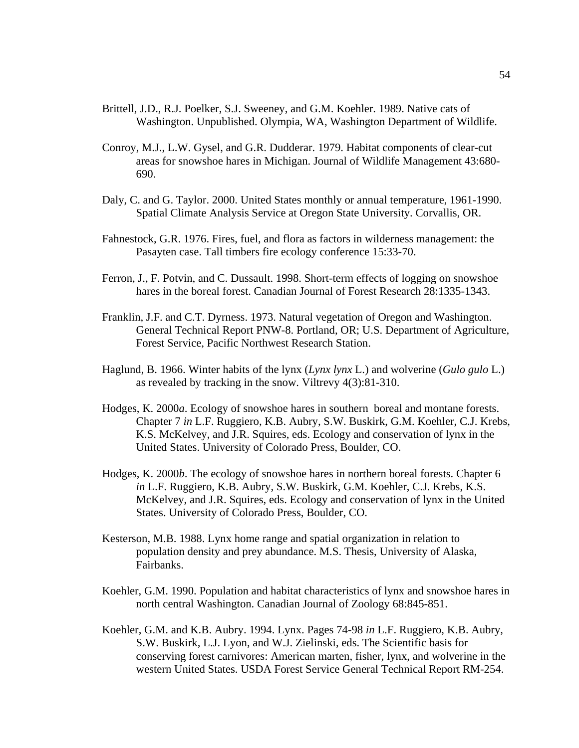- Brittell, J.D., R.J. Poelker, S.J. Sweeney, and G.M. Koehler. 1989. Native cats of Washington. Unpublished. Olympia, WA, Washington Department of Wildlife.
- Conroy, M.J., L.W. Gysel, and G.R. Dudderar. 1979. Habitat components of clear-cut areas for snowshoe hares in Michigan. Journal of Wildlife Management 43:680- 690.
- Daly, C. and G. Taylor. 2000. United States monthly or annual temperature, 1961-1990. Spatial Climate Analysis Service at Oregon State University. Corvallis, OR.
- Fahnestock, G.R. 1976. Fires, fuel, and flora as factors in wilderness management: the Pasayten case. Tall timbers fire ecology conference 15:33-70.
- Ferron, J., F. Potvin, and C. Dussault. 1998. Short-term effects of logging on snowshoe hares in the boreal forest. Canadian Journal of Forest Research 28:1335-1343.
- Franklin, J.F. and C.T. Dyrness. 1973. Natural vegetation of Oregon and Washington. General Technical Report PNW-8. Portland, OR; U.S. Department of Agriculture, Forest Service, Pacific Northwest Research Station.
- Haglund, B. 1966. Winter habits of the lynx (*Lynx lynx* L.) and wolverine (*Gulo gulo* L.) as revealed by tracking in the snow. Viltrevy 4(3):81-310.
- Hodges, K. 2000*a*. Ecology of snowshoe hares in southern boreal and montane forests. Chapter 7 *in* L.F. Ruggiero, K.B. Aubry, S.W. Buskirk, G.M. Koehler, C.J. Krebs, K.S. McKelvey, and J.R. Squires, eds. Ecology and conservation of lynx in the United States. University of Colorado Press, Boulder, CO.
- Hodges, K. 2000*b*. The ecology of snowshoe hares in northern boreal forests. Chapter 6 *in* L.F. Ruggiero, K.B. Aubry, S.W. Buskirk, G.M. Koehler, C.J. Krebs, K.S. McKelvey, and J.R. Squires, eds. Ecology and conservation of lynx in the United States. University of Colorado Press, Boulder, CO.
- Kesterson, M.B. 1988. Lynx home range and spatial organization in relation to population density and prey abundance. M.S. Thesis, University of Alaska, Fairbanks.
- Koehler, G.M. 1990. Population and habitat characteristics of lynx and snowshoe hares in north central Washington. Canadian Journal of Zoology 68:845-851.
- Koehler, G.M. and K.B. Aubry. 1994. Lynx. Pages 74-98 *in* L.F. Ruggiero, K.B. Aubry, S.W. Buskirk, L.J. Lyon, and W.J. Zielinski, eds. The Scientific basis for conserving forest carnivores: American marten, fisher, lynx, and wolverine in the western United States. USDA Forest Service General Technical Report RM-254.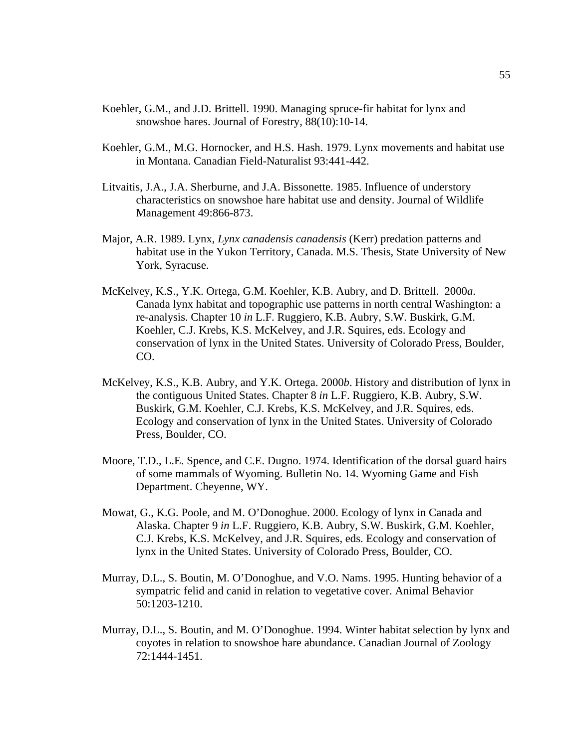- Koehler, G.M., and J.D. Brittell. 1990. Managing spruce-fir habitat for lynx and snowshoe hares. Journal of Forestry, 88(10):10-14.
- Koehler, G.M., M.G. Hornocker, and H.S. Hash. 1979. Lynx movements and habitat use in Montana. Canadian Field-Naturalist 93:441-442.
- Litvaitis, J.A., J.A. Sherburne, and J.A. Bissonette. 1985. Influence of understory characteristics on snowshoe hare habitat use and density. Journal of Wildlife Management 49:866-873.
- Major, A.R. 1989. Lynx, *Lynx canadensis canadensis* (Kerr) predation patterns and habitat use in the Yukon Territory, Canada. M.S. Thesis, State University of New York, Syracuse.
- McKelvey, K.S., Y.K. Ortega, G.M. Koehler, K.B. Aubry, and D. Brittell. 2000*a*. Canada lynx habitat and topographic use patterns in north central Washington: a re-analysis. Chapter 10 *in* L.F. Ruggiero, K.B. Aubry, S.W. Buskirk, G.M. Koehler, C.J. Krebs, K.S. McKelvey, and J.R. Squires, eds. Ecology and conservation of lynx in the United States. University of Colorado Press, Boulder, CO.
- McKelvey, K.S., K.B. Aubry, and Y.K. Ortega. 2000*b*. History and distribution of lynx in the contiguous United States. Chapter 8 *in* L.F. Ruggiero, K.B. Aubry, S.W. Buskirk, G.M. Koehler, C.J. Krebs, K.S. McKelvey, and J.R. Squires, eds. Ecology and conservation of lynx in the United States. University of Colorado Press, Boulder, CO.
- Moore, T.D., L.E. Spence, and C.E. Dugno. 1974. Identification of the dorsal guard hairs of some mammals of Wyoming. Bulletin No. 14. Wyoming Game and Fish Department. Cheyenne, WY.
- Mowat, G., K.G. Poole, and M. O'Donoghue. 2000. Ecology of lynx in Canada and Alaska. Chapter 9 *in* L.F. Ruggiero, K.B. Aubry, S.W. Buskirk, G.M. Koehler, C.J. Krebs, K.S. McKelvey, and J.R. Squires, eds. Ecology and conservation of lynx in the United States. University of Colorado Press, Boulder, CO.
- Murray, D.L., S. Boutin, M. O'Donoghue, and V.O. Nams. 1995. Hunting behavior of a sympatric felid and canid in relation to vegetative cover. Animal Behavior 50:1203-1210.
- Murray, D.L., S. Boutin, and M. O'Donoghue. 1994. Winter habitat selection by lynx and coyotes in relation to snowshoe hare abundance. Canadian Journal of Zoology 72:1444-1451.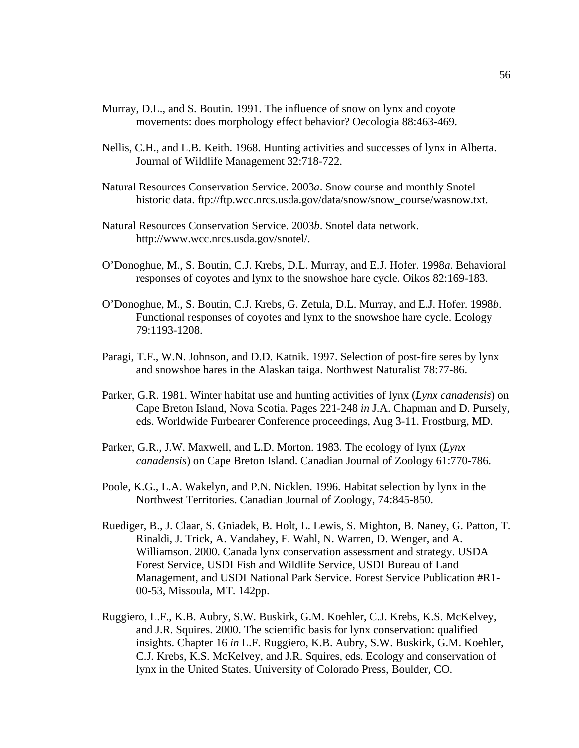- Murray, D.L., and S. Boutin. 1991. The influence of snow on lynx and coyote movements: does morphology effect behavior? Oecologia 88:463-469.
- Nellis, C.H., and L.B. Keith. 1968. Hunting activities and successes of lynx in Alberta. Journal of Wildlife Management 32:718-722.
- Natural Resources Conservation Service. 2003*a*. Snow course and monthly Snotel historic data. ftp://ftp.wcc.nrcs.usda.gov/data/snow/snow\_course/wasnow.txt.
- Natural Resources Conservation Service. 2003*b*. Snotel data network. http://www.wcc.nrcs.usda.gov/snotel/.
- O'Donoghue, M., S. Boutin, C.J. Krebs, D.L. Murray, and E.J. Hofer. 1998*a*. Behavioral responses of coyotes and lynx to the snowshoe hare cycle. Oikos 82:169-183.
- O'Donoghue, M., S. Boutin, C.J. Krebs, G. Zetula, D.L. Murray, and E.J. Hofer. 1998*b*. Functional responses of coyotes and lynx to the snowshoe hare cycle. Ecology 79:1193-1208.
- Paragi, T.F., W.N. Johnson, and D.D. Katnik. 1997. Selection of post-fire seres by lynx and snowshoe hares in the Alaskan taiga. Northwest Naturalist 78:77-86.
- Parker, G.R. 1981. Winter habitat use and hunting activities of lynx (*Lynx canadensis*) on Cape Breton Island, Nova Scotia. Pages 221-248 *in* J.A. Chapman and D. Pursely, eds. Worldwide Furbearer Conference proceedings, Aug 3-11. Frostburg, MD.
- Parker, G.R., J.W. Maxwell, and L.D. Morton. 1983. The ecology of lynx (*Lynx canadensis*) on Cape Breton Island. Canadian Journal of Zoology 61:770-786.
- Poole, K.G., L.A. Wakelyn, and P.N. Nicklen. 1996. Habitat selection by lynx in the Northwest Territories. Canadian Journal of Zoology, 74:845-850.
- Ruediger, B., J. Claar, S. Gniadek, B. Holt, L. Lewis, S. Mighton, B. Naney, G. Patton, T. Rinaldi, J. Trick, A. Vandahey, F. Wahl, N. Warren, D. Wenger, and A. Williamson. 2000. Canada lynx conservation assessment and strategy. USDA Forest Service, USDI Fish and Wildlife Service, USDI Bureau of Land Management, and USDI National Park Service. Forest Service Publication #R1- 00-53, Missoula, MT. 142pp.
- Ruggiero, L.F., K.B. Aubry, S.W. Buskirk, G.M. Koehler, C.J. Krebs, K.S. McKelvey, and J.R. Squires. 2000. The scientific basis for lynx conservation: qualified insights. Chapter 16 *in* L.F. Ruggiero, K.B. Aubry, S.W. Buskirk, G.M. Koehler, C.J. Krebs, K.S. McKelvey, and J.R. Squires, eds. Ecology and conservation of lynx in the United States. University of Colorado Press, Boulder, CO.